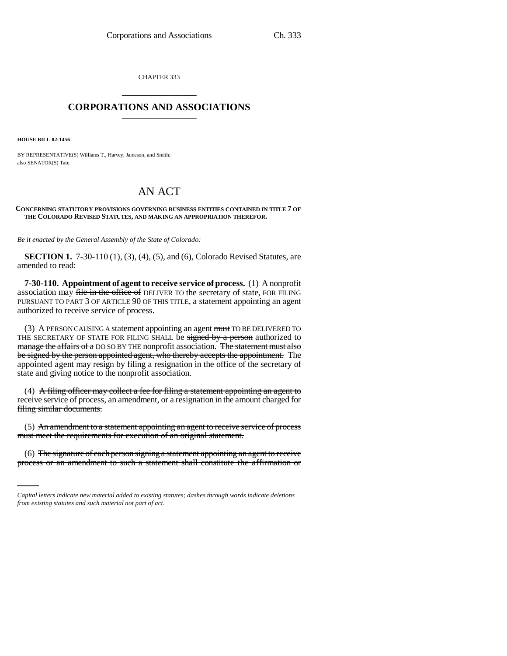CHAPTER 333 \_\_\_\_\_\_\_\_\_\_\_\_\_\_\_

## **CORPORATIONS AND ASSOCIATIONS** \_\_\_\_\_\_\_\_\_\_\_\_\_\_\_

**HOUSE BILL 02-1456**

BY REPRESENTATIVE(S) Williams T., Harvey, Jameson, and Smith; also SENATOR(S) Tate.

# AN ACT

#### **CONCERNING STATUTORY PROVISIONS GOVERNING BUSINESS ENTITIES CONTAINED IN TITLE 7 OF THE COLORADO REVISED STATUTES, AND MAKING AN APPROPRIATION THEREFOR.**

*Be it enacted by the General Assembly of the State of Colorado:*

**SECTION 1.** 7-30-110 (1), (3), (4), (5), and (6), Colorado Revised Statutes, are amended to read:

**7-30-110. Appointment of agent to receive service of process.** (1) A nonprofit association may file in the office of DELIVER TO the secretary of state, FOR FILING PURSUANT TO PART 3 OF ARTICLE 90 OF THIS TITLE, a statement appointing an agent authorized to receive service of process.

(3) A PERSON CAUSING A statement appointing an agent must TO BE DELIVERED TO THE SECRETARY OF STATE FOR FILING SHALL be signed by a person authorized to manage the affairs of a DO SO BY THE nonprofit association. The statement must also be signed by the person appointed agent, who thereby accepts the appointment. The appointed agent may resign by filing a resignation in the office of the secretary of state and giving notice to the nonprofit association.

(4) A filing officer may collect a fee for filing a statement appointing an agent to receive service of process, an amendment, or a resignation in the amount charged for filing similar documents.

must meet the requirements for execution of an original statement. (5) An amendment to a statement appointing an agent to receive service of process

(6) The signature of each person signing a statement appointing an agent to receive process or an amendment to such a statement shall constitute the affirmation or

*Capital letters indicate new material added to existing statutes; dashes through words indicate deletions from existing statutes and such material not part of act.*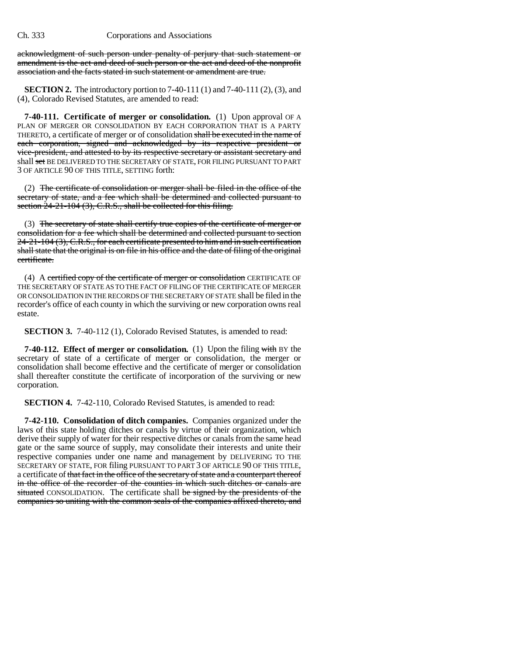acknowledgment of such person under penalty of perjury that such statement or amendment is the act and deed of such person or the act and deed of the nonprofit association and the facts stated in such statement or amendment are true.

**SECTION 2.** The introductory portion to 7-40-111 (1) and 7-40-111 (2), (3), and (4), Colorado Revised Statutes, are amended to read:

**7-40-111. Certificate of merger or consolidation.** (1) Upon approval OF A PLAN OF MERGER OR CONSOLIDATION BY EACH CORPORATION THAT IS A PARTY THERETO, a certificate of merger or of consolidation shall be executed in the name of each corporation, signed and acknowledged by its respective president or vice-president, and attested to by its respective secretary or assistant secretary and shall set BE DELIVERED TO THE SECRETARY OF STATE, FOR FILING PURSUANT TO PART 3 OF ARTICLE 90 OF THIS TITLE, SETTING forth:

(2) The certificate of consolidation or merger shall be filed in the office of the secretary of state, and a fee which shall be determined and collected pursuant to section  $24-21-104$  (3), C.R.S., shall be collected for this filing.

(3) The secretary of state shall certify true copies of the certificate of merger or consolidation for a fee which shall be determined and collected pursuant to section 24-21-104 (3), C.R.S., for each certificate presented to him and in such certification shall state that the original is on file in his office and the date of filing of the original certificate.

(4) A certified copy of the certificate of merger or consolidation CERTIFICATE OF THE SECRETARY OF STATE AS TO THE FACT OF FILING OF THE CERTIFICATE OF MERGER OR CONSOLIDATION IN THE RECORDS OF THE SECRETARY OF STATE shall be filed in the recorder's office of each county in which the surviving or new corporation owns real estate.

**SECTION 3.** 7-40-112 (1), Colorado Revised Statutes, is amended to read:

**7-40-112. Effect of merger or consolidation.** (1) Upon the filing with BY the secretary of state of a certificate of merger or consolidation, the merger or consolidation shall become effective and the certificate of merger or consolidation shall thereafter constitute the certificate of incorporation of the surviving or new corporation.

**SECTION 4.** 7-42-110, Colorado Revised Statutes, is amended to read:

**7-42-110. Consolidation of ditch companies.** Companies organized under the laws of this state holding ditches or canals by virtue of their organization, which derive their supply of water for their respective ditches or canals from the same head gate or the same source of supply, may consolidate their interests and unite their respective companies under one name and management by DELIVERING TO THE SECRETARY OF STATE, FOR filing PURSUANT TO PART 3 OF ARTICLE 90 OF THIS TITLE, a certificate of that fact in the office of the secretary of state and a counterpart thereof in the office of the recorder of the counties in which such ditches or canals are situated CONSOLIDATION. The certificate shall be signed by the presidents of the companies so uniting with the common seals of the companies affixed thereto, and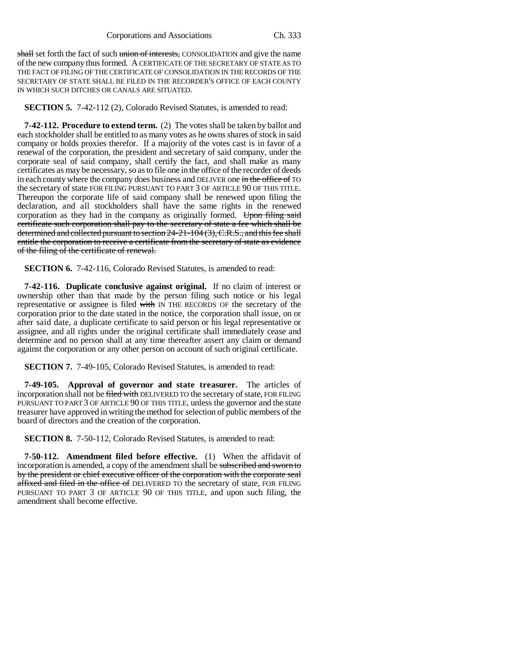shall set forth the fact of such union of interests, CONSOLIDATION and give the name of the new company thus formed. A CERTIFICATE OF THE SECRETARY OF STATE AS TO THE FACT OF FILING OF THE CERTIFICATE OF CONSOLIDATION IN THE RECORDS OF THE SECRETARY OF STATE SHALL BE FILED IN THE RECORDER'S OFFICE OF EACH COUNTY IN WHICH SUCH DITCHES OR CANALS ARE SITUATED.

**SECTION 5.** 7-42-112 (2), Colorado Revised Statutes, is amended to read:

**7-42-112. Procedure to extend term.** (2) The votes shall be taken by ballot and each stockholder shall be entitled to as many votes as he owns shares of stock in said company or holds proxies therefor. If a majority of the votes cast is in favor of a renewal of the corporation, the president and secretary of said company, under the corporate seal of said company, shall certify the fact, and shall make as many certificates as may be necessary, so as to file one in the office of the recorder of deeds in each county where the company does business and DELIVER one in the office of TO the secretary of state FOR FILING PURSUANT TO PART 3 OF ARTICLE 90 OF THIS TITLE. Thereupon the corporate life of said company shall be renewed upon filing the declaration, and all stockholders shall have the same rights in the renewed corporation as they had in the company as originally formed. Upon filing said certificate such corporation shall pay to the secretary of state a fee which shall be determined and collected pursuant to section 24-21-104 (3), C.R.S., and this fee shall entitle the corporation to receive a certificate from the secretary of state as evidence of the filing of the certificate of renewal.

**SECTION 6.** 7-42-116, Colorado Revised Statutes, is amended to read:

**7-42-116. Duplicate conclusive against original.** If no claim of interest or ownership other than that made by the person filing such notice or his legal representative or assignee is filed with IN THE RECORDS OF the secretary of the corporation prior to the date stated in the notice, the corporation shall issue, on or after said date, a duplicate certificate to said person or his legal representative or assignee, and all rights under the original certificate shall immediately cease and determine and no person shall at any time thereafter assert any claim or demand against the corporation or any other person on account of such original certificate.

**SECTION 7.** 7-49-105, Colorado Revised Statutes, is amended to read:

**7-49-105. Approval of governor and state treasurer.** The articles of incorporation shall not be filed with DELIVERED TO the secretary of state, FOR FILING PURSUANT TO PART 3 OF ARTICLE 90 OF THIS TITLE, unless the governor and the state treasurer have approved in writing the method for selection of public members of the board of directors and the creation of the corporation.

**SECTION 8.** 7-50-112, Colorado Revised Statutes, is amended to read:

**7-50-112. Amendment filed before effective.** (1) When the affidavit of incorporation is amended, a copy of the amendment shall be subscribed and sworn to by the president or chief executive officer of the corporation with the corporate seal affixed and filed in the office of DELIVERED TO the secretary of state, FOR FILING PURSUANT TO PART 3 OF ARTICLE 90 OF THIS TITLE, and upon such filing, the amendment shall become effective.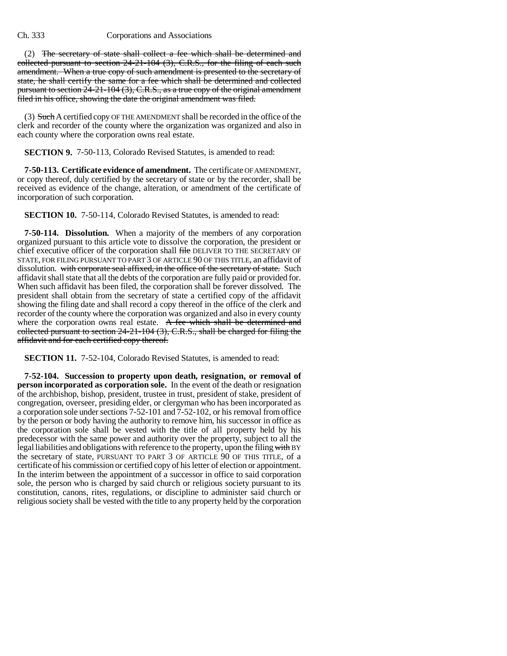(2) The secretary of state shall collect a fee which shall be determined and collected pursuant to section 24-21-104 (3), C.R.S., for the filing of each such amendment. When a true copy of such amendment is presented to the secretary of state, he shall certify the same for a fee which shall be determined and collected pursuant to section 24-21-104 (3), C.R.S., as a true copy of the original amendment filed in his office, showing the date the original amendment was filed.

(3) Such A certified copy OF THE AMENDMENT shall be recorded in the office of the clerk and recorder of the county where the organization was organized and also in each county where the corporation owns real estate.

**SECTION 9.** 7-50-113, Colorado Revised Statutes, is amended to read:

**7-50-113. Certificate evidence of amendment.** The certificate OF AMENDMENT, or copy thereof, duly certified by the secretary of state or by the recorder, shall be received as evidence of the change, alteration, or amendment of the certificate of incorporation of such corporation.

**SECTION 10.** 7-50-114, Colorado Revised Statutes, is amended to read:

**7-50-114. Dissolution.** When a majority of the members of any corporation organized pursuant to this article vote to dissolve the corporation, the president or chief executive officer of the corporation shall file DELIVER TO THE SECRETARY OF STATE, FOR FILING PURSUANT TO PART 3 OF ARTICLE 90 OF THIS TITLE, an affidavit of dissolution. with corporate seal affixed, in the office of the secretary of state. Such affidavit shall state that all the debts of the corporation are fully paid or provided for. When such affidavit has been filed, the corporation shall be forever dissolved. The president shall obtain from the secretary of state a certified copy of the affidavit showing the filing date and shall record a copy thereof in the office of the clerk and recorder of the county where the corporation was organized and also in every county where the corporation owns real estate. A fee which shall be determined and collected pursuant to section 24-21-104 (3), C.R.S., shall be charged for filing the affidavit and for each certified copy thereof.

**SECTION 11.** 7-52-104, Colorado Revised Statutes, is amended to read:

**7-52-104. Succession to property upon death, resignation, or removal of person incorporated as corporation sole.** In the event of the death or resignation of the archbishop, bishop, president, trustee in trust, president of stake, president of congregation, overseer, presiding elder, or clergyman who has been incorporated as a corporation sole under sections 7-52-101 and 7-52-102, or his removal from office by the person or body having the authority to remove him, his successor in office as the corporation sole shall be vested with the title of all property held by his predecessor with the same power and authority over the property, subject to all the legal liabilities and obligations with reference to the property, upon the filing with BY the secretary of state, PURSUANT TO PART 3 OF ARTICLE 90 OF THIS TITLE, of a certificate of his commission or certified copy of his letter of election or appointment. In the interim between the appointment of a successor in office to said corporation sole, the person who is charged by said church or religious society pursuant to its constitution, canons, rites, regulations, or discipline to administer said church or religious society shall be vested with the title to any property held by the corporation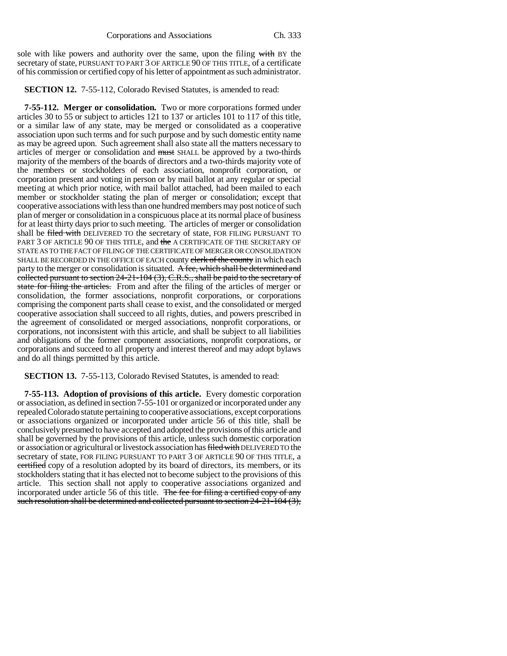sole with like powers and authority over the same, upon the filing with BY the secretary of state, PURSUANT TO PART 3 OF ARTICLE 90 OF THIS TITLE, of a certificate of his commission or certified copy of his letter of appointment as such administrator.

**SECTION 12.** 7-55-112, Colorado Revised Statutes, is amended to read:

**7-55-112. Merger or consolidation.** Two or more corporations formed under articles 30 to 55 or subject to articles 121 to 137 or articles 101 to 117 of this title, or a similar law of any state, may be merged or consolidated as a cooperative association upon such terms and for such purpose and by such domestic entity name as may be agreed upon. Such agreement shall also state all the matters necessary to articles of merger or consolidation and must SHALL be approved by a two-thirds majority of the members of the boards of directors and a two-thirds majority vote of the members or stockholders of each association, nonprofit corporation, or corporation present and voting in person or by mail ballot at any regular or special meeting at which prior notice, with mail ballot attached, had been mailed to each member or stockholder stating the plan of merger or consolidation; except that cooperative associations with less than one hundred members may post notice of such plan of merger or consolidation in a conspicuous place at its normal place of business for at least thirty days prior to such meeting. The articles of merger or consolidation shall be filed with DELIVERED TO the secretary of state, FOR FILING PURSUANT TO PART 3 OF ARTICLE 90 OF THIS TITLE, and the A CERTIFICATE OF THE SECRETARY OF STATE AS TO THE FACT OF FILING OF THE CERTIFICATE OF MERGER OR CONSOLIDATION SHALL BE RECORDED IN THE OFFICE OF EACH county elerk of the county in which each party to the merger or consolidation is situated. A fee, which shall be determined and collected pursuant to section 24-21-104 (3), C.R.S., shall be paid to the secretary of state for filing the articles. From and after the filing of the articles of merger or consolidation, the former associations, nonprofit corporations, or corporations comprising the component parts shall cease to exist, and the consolidated or merged cooperative association shall succeed to all rights, duties, and powers prescribed in the agreement of consolidated or merged associations, nonprofit corporations, or corporations, not inconsistent with this article, and shall be subject to all liabilities and obligations of the former component associations, nonprofit corporations, or corporations and succeed to all property and interest thereof and may adopt bylaws and do all things permitted by this article.

**SECTION 13.** 7-55-113, Colorado Revised Statutes, is amended to read:

**7-55-113. Adoption of provisions of this article.** Every domestic corporation or association, as defined in section 7-55-101 or organized or incorporated under any repealed Colorado statute pertaining to cooperative associations, except corporations or associations organized or incorporated under article 56 of this title, shall be conclusively presumed to have accepted and adopted the provisions of this article and shall be governed by the provisions of this article, unless such domestic corporation or association or agricultural or livestock association has filed with DELIVERED TO the secretary of state, FOR FILING PURSUANT TO PART 3 OF ARTICLE 90 OF THIS TITLE, a certified copy of a resolution adopted by its board of directors, its members, or its stockholders stating that it has elected not to become subject to the provisions of this article. This section shall not apply to cooperative associations organized and incorporated under article 56 of this title. The fee for filing a certified copy of any such resolution shall be determined and collected pursuant to section 24-21-104 (3),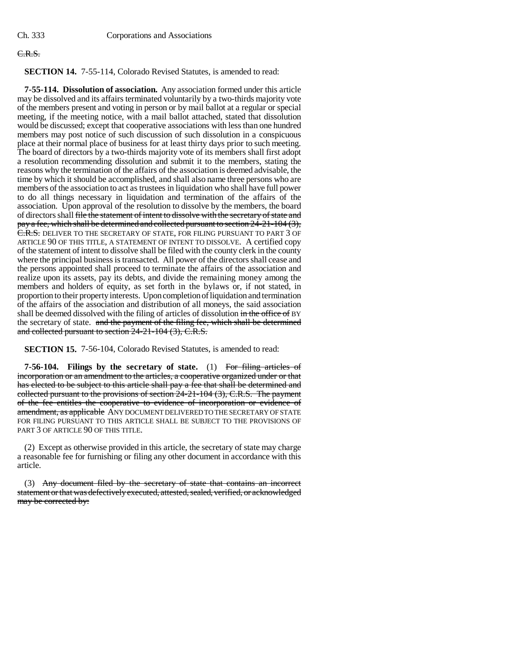## C.R.S.

**SECTION 14.** 7-55-114, Colorado Revised Statutes, is amended to read:

**7-55-114. Dissolution of association.** Any association formed under this article may be dissolved and its affairs terminated voluntarily by a two-thirds majority vote of the members present and voting in person or by mail ballot at a regular or special meeting, if the meeting notice, with a mail ballot attached, stated that dissolution would be discussed; except that cooperative associations with less than one hundred members may post notice of such discussion of such dissolution in a conspicuous place at their normal place of business for at least thirty days prior to such meeting. The board of directors by a two-thirds majority vote of its members shall first adopt a resolution recommending dissolution and submit it to the members, stating the reasons why the termination of the affairs of the association is deemed advisable, the time by which it should be accomplished, and shall also name three persons who are members of the association to act as trustees in liquidation who shall have full power to do all things necessary in liquidation and termination of the affairs of the association. Upon approval of the resolution to dissolve by the members, the board of directors shall file the statement of intent to dissolve with the secretary of state and pay a fee, which shall be determined and collected pursuant to section  $24-21-104$  (3), C.R.S. DELIVER TO THE SECRETARY OF STATE, FOR FILING PURSUANT TO PART 3 OF ARTICLE 90 OF THIS TITLE, A STATEMENT OF INTENT TO DISSOLVE. A certified copy of the statement of intent to dissolve shall be filed with the county clerk in the county where the principal business is transacted. All power of the directors shall cease and the persons appointed shall proceed to terminate the affairs of the association and realize upon its assets, pay its debts, and divide the remaining money among the members and holders of equity, as set forth in the bylaws or, if not stated, in proportion to their property interests. Upon completion of liquidation and termination of the affairs of the association and distribution of all moneys, the said association shall be deemed dissolved with the filing of articles of dissolution in the office of BY the secretary of state. and the payment of the filing fee, which shall be determined and collected pursuant to section 24-21-104 (3), C.R.S.

**SECTION 15.** 7-56-104, Colorado Revised Statutes, is amended to read:

**7-56-104. Filings by the secretary of state.** (1) For filing articles of incorporation or an amendment to the articles, a cooperative organized under or that has elected to be subject to this article shall pay a fee that shall be determined and collected pursuant to the provisions of section 24-21-104 (3), C.R.S. The payment of the fee entitles the cooperative to evidence of incorporation or evidence of amendment, as applicable ANY DOCUMENT DELIVERED TO THE SECRETARY OF STATE FOR FILING PURSUANT TO THIS ARTICLE SHALL BE SUBJECT TO THE PROVISIONS OF PART 3 OF ARTICLE 90 OF THIS TITLE.

(2) Except as otherwise provided in this article, the secretary of state may charge a reasonable fee for furnishing or filing any other document in accordance with this article.

(3) Any document filed by the secretary of state that contains an incorrect statement or that was defectively executed, attested, sealed, verified, or acknowledged may be corrected by: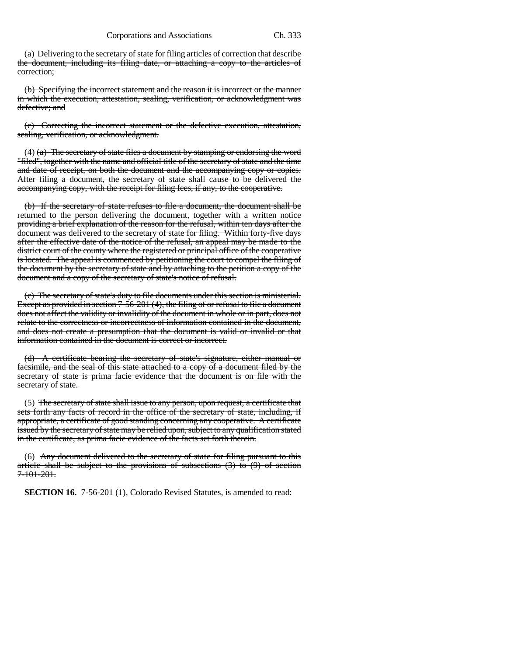(a) Delivering to the secretary of state for filing articles of correction that describe the document, including its filing date, or attaching a copy to the articles of correction;

(b) Specifying the incorrect statement and the reason it is incorrect or the manner in which the execution, attestation, sealing, verification, or acknowledgment was defective; and

(c) Correcting the incorrect statement or the defective execution, attestation, sealing, verification, or acknowledgment.

(4)  $(a)$  The secretary of state files a document by stamping or endorsing the word "filed", together with the name and official title of the secretary of state and the time and date of receipt, on both the document and the accompanying copy or copies. After filing a document, the secretary of state shall cause to be delivered the accompanying copy, with the receipt for filing fees, if any, to the cooperative.

(b) If the secretary of state refuses to file a document, the document shall be returned to the person delivering the document, together with a written notice providing a brief explanation of the reason for the refusal, within ten days after the document was delivered to the secretary of state for filing. Within forty-five days after the effective date of the notice of the refusal, an appeal may be made to the district court of the county where the registered or principal office of the cooperative is located. The appeal is commenced by petitioning the court to compel the filing of the document by the secretary of state and by attaching to the petition a copy of the document and a copy of the secretary of state's notice of refusal.

(c) The secretary of state's duty to file documents under this section is ministerial. Except as provided in section 7-56-201 (4), the filing of or refusal to file a document does not affect the validity or invalidity of the document in whole or in part, does not relate to the correctness or incorrectness of information contained in the document, and does not create a presumption that the document is valid or invalid or that information contained in the document is correct or incorrect.

(d) A certificate bearing the secretary of state's signature, either manual or facsimile, and the seal of this state attached to a copy of a document filed by the secretary of state is prima facie evidence that the document is on file with the secretary of state.

(5) The secretary of state shall issue to any person, upon request, a certificate that sets forth any facts of record in the office of the secretary of state, including, if appropriate, a certificate of good standing concerning any cooperative. A certificate issued by the secretary of state may be relied upon, subject to any qualification stated in the certificate, as prima facie evidence of the facts set forth therein.

(6) Any document delivered to the secretary of state for filing pursuant to this article shall be subject to the provisions of subsections  $(3)$  to  $(9)$  of section 7-101-201.

**SECTION 16.** 7-56-201 (1), Colorado Revised Statutes, is amended to read: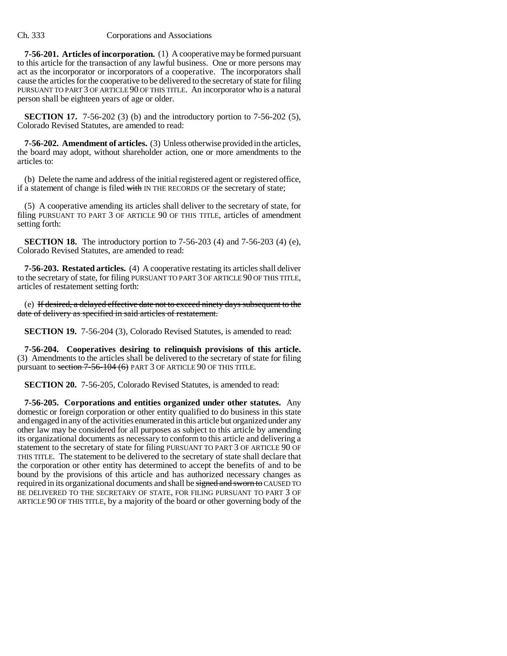**7-56-201. Articles of incorporation.** (1) A cooperative may be formed pursuant to this article for the transaction of any lawful business. One or more persons may act as the incorporator or incorporators of a cooperative. The incorporators shall cause the articles for the cooperative to be delivered to the secretary of state for filing PURSUANT TO PART 3 OF ARTICLE 90 OF THIS TITLE. An incorporator who is a natural person shall be eighteen years of age or older.

**SECTION 17.** 7-56-202 (3) (b) and the introductory portion to 7-56-202 (5), Colorado Revised Statutes, are amended to read:

**7-56-202. Amendment of articles.** (3) Unless otherwise provided in the articles, the board may adopt, without shareholder action, one or more amendments to the articles to:

(b) Delete the name and address of the initial registered agent or registered office, if a statement of change is filed with IN THE RECORDS OF the secretary of state;

(5) A cooperative amending its articles shall deliver to the secretary of state, for filing PURSUANT TO PART 3 OF ARTICLE 90 OF THIS TITLE, articles of amendment setting forth:

**SECTION 18.** The introductory portion to 7-56-203 (4) and 7-56-203 (4) (e), Colorado Revised Statutes, are amended to read:

**7-56-203. Restated articles.** (4) A cooperative restating its articles shall deliver to the secretary of state, for filing PURSUANT TO PART 3 OF ARTICLE 90 OF THIS TITLE, articles of restatement setting forth:

(e) If desired, a delayed effective date not to exceed ninety days subsequent to the date of delivery as specified in said articles of restatement.

**SECTION 19.** 7-56-204 (3), Colorado Revised Statutes, is amended to read:

**7-56-204. Cooperatives desiring to relinquish provisions of this article.** (3) Amendments to the articles shall be delivered to the secretary of state for filing pursuant to section 7-56-104 (6) PART 3 OF ARTICLE 90 OF THIS TITLE.

**SECTION 20.** 7-56-205, Colorado Revised Statutes, is amended to read:

**7-56-205. Corporations and entities organized under other statutes.** Any domestic or foreign corporation or other entity qualified to do business in this state and engaged in any of the activities enumerated in this article but organized under any other law may be considered for all purposes as subject to this article by amending its organizational documents as necessary to conform to this article and delivering a statement to the secretary of state for filing PURSUANT TO PART 3 OF ARTICLE 90 OF THIS TITLE. The statement to be delivered to the secretary of state shall declare that the corporation or other entity has determined to accept the benefits of and to be bound by the provisions of this article and has authorized necessary changes as required in its organizational documents and shall be signed and sworn to CAUSED TO BE DELIVERED TO THE SECRETARY OF STATE, FOR FILING PURSUANT TO PART 3 OF ARTICLE 90 OF THIS TITLE, by a majority of the board or other governing body of the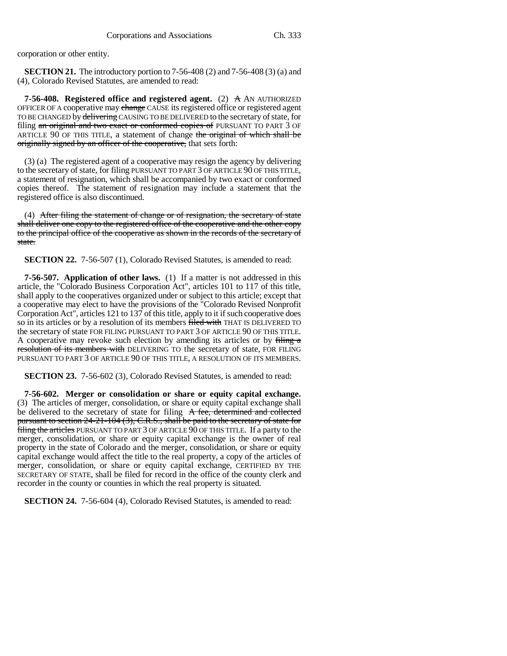corporation or other entity.

**SECTION 21.** The introductory portion to 7-56-408 (2) and 7-56-408 (3) (a) and (4), Colorado Revised Statutes, are amended to read:

**7-56-408. Registered office and registered agent.** (2) A AN AUTHORIZED OFFICER OF A cooperative may change CAUSE its registered office or registered agent TO BE CHANGED by delivering CAUSING TO BE DELIVERED to the secretary of state, for filing an original and two exact or conformed copies of PURSUANT TO PART 3 OF ARTICLE 90 OF THIS TITLE, a statement of change the original of which shall be originally signed by an officer of the cooperative, that sets forth:

(3) (a) The registered agent of a cooperative may resign the agency by delivering to the secretary of state, for filing PURSUANT TO PART 3 OF ARTICLE 90 OF THIS TITLE, a statement of resignation, which shall be accompanied by two exact or conformed copies thereof. The statement of resignation may include a statement that the registered office is also discontinued.

(4) After filing the statement of change or of resignation, the secretary of state shall deliver one copy to the registered office of the cooperative and the other copy to the principal office of the cooperative as shown in the records of the secretary of state.

**SECTION 22.** 7-56-507 (1), Colorado Revised Statutes, is amended to read:

**7-56-507. Application of other laws.** (1) If a matter is not addressed in this article, the "Colorado Business Corporation Act", articles 101 to 117 of this title, shall apply to the cooperatives organized under or subject to this article; except that a cooperative may elect to have the provisions of the "Colorado Revised Nonprofit Corporation Act", articles 121 to 137 of this title, apply to it if such cooperative does so in its articles or by a resolution of its members filed with THAT IS DELIVERED TO the secretary of state FOR FILING PURSUANT TO PART 3 OF ARTICLE 90 OF THIS TITLE. A cooperative may revoke such election by amending its articles or by filing a resolution of its members with DELIVERING TO the secretary of state, FOR FILING PURSUANT TO PART 3 OF ARTICLE 90 OF THIS TITLE, A RESOLUTION OF ITS MEMBERS.

**SECTION 23.** 7-56-602 (3), Colorado Revised Statutes, is amended to read:

**7-56-602. Merger or consolidation or share or equity capital exchange.** (3) The articles of merger, consolidation, or share or equity capital exchange shall be delivered to the secretary of state for filing A fee, determined and collected pursuant to section 24-21-104 (3), C.R.S., shall be paid to the secretary of state for filing the articles PURSUANT TO PART 3 OF ARTICLE 90 OF THIS TITLE. If a party to the merger, consolidation, or share or equity capital exchange is the owner of real property in the state of Colorado and the merger, consolidation, or share or equity capital exchange would affect the title to the real property, a copy of the articles of merger, consolidation, or share or equity capital exchange, CERTIFIED BY THE SECRETARY OF STATE, shall be filed for record in the office of the county clerk and recorder in the county or counties in which the real property is situated.

**SECTION 24.** 7-56-604 (4), Colorado Revised Statutes, is amended to read: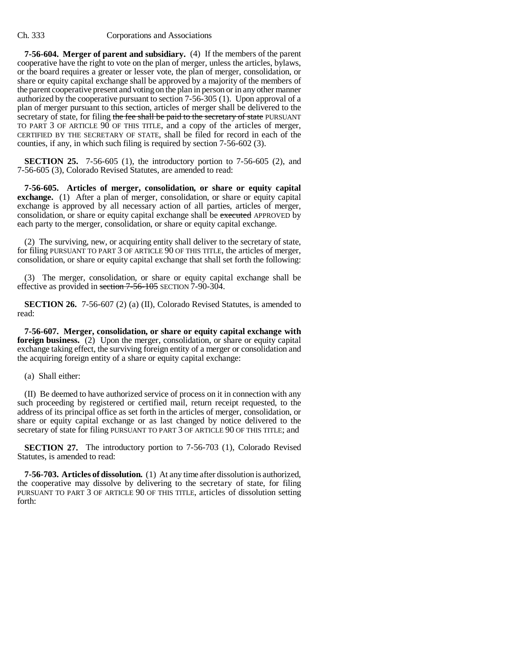**7-56-604. Merger of parent and subsidiary.** (4) If the members of the parent cooperative have the right to vote on the plan of merger, unless the articles, bylaws, or the board requires a greater or lesser vote, the plan of merger, consolidation, or share or equity capital exchange shall be approved by a majority of the members of the parent cooperative present and voting on the plan in person or in any other manner authorized by the cooperative pursuant to section 7-56-305 (1). Upon approval of a plan of merger pursuant to this section, articles of merger shall be delivered to the secretary of state, for filing the fee shall be paid to the secretary of state PURSUANT TO PART 3 OF ARTICLE 90 OF THIS TITLE, and a copy of the articles of merger, CERTIFIED BY THE SECRETARY OF STATE, shall be filed for record in each of the counties, if any, in which such filing is required by section 7-56-602 (3).

**SECTION 25.** 7-56-605 (1), the introductory portion to 7-56-605 (2), and 7-56-605 (3), Colorado Revised Statutes, are amended to read:

**7-56-605. Articles of merger, consolidation, or share or equity capital exchange.** (1) After a plan of merger, consolidation, or share or equity capital exchange is approved by all necessary action of all parties, articles of merger, consolidation, or share or equity capital exchange shall be executed APPROVED by each party to the merger, consolidation, or share or equity capital exchange.

(2) The surviving, new, or acquiring entity shall deliver to the secretary of state, for filing PURSUANT TO PART 3 OF ARTICLE 90 OF THIS TITLE, the articles of merger, consolidation, or share or equity capital exchange that shall set forth the following:

(3) The merger, consolidation, or share or equity capital exchange shall be effective as provided in section 7-56-105 SECTION 7-90-304.

**SECTION 26.** 7-56-607 (2) (a) (II), Colorado Revised Statutes, is amended to read:

**7-56-607. Merger, consolidation, or share or equity capital exchange with foreign business.** (2) Upon the merger, consolidation, or share or equity capital exchange taking effect, the surviving foreign entity of a merger or consolidation and the acquiring foreign entity of a share or equity capital exchange:

(a) Shall either:

(II) Be deemed to have authorized service of process on it in connection with any such proceeding by registered or certified mail, return receipt requested, to the address of its principal office as set forth in the articles of merger, consolidation, or share or equity capital exchange or as last changed by notice delivered to the secretary of state for filing PURSUANT TO PART 3 OF ARTICLE 90 OF THIS TITLE; and

**SECTION 27.** The introductory portion to 7-56-703 (1), Colorado Revised Statutes, is amended to read:

**7-56-703. Articles of dissolution.** (1) At any time after dissolution is authorized, the cooperative may dissolve by delivering to the secretary of state, for filing PURSUANT TO PART 3 OF ARTICLE 90 OF THIS TITLE, articles of dissolution setting forth: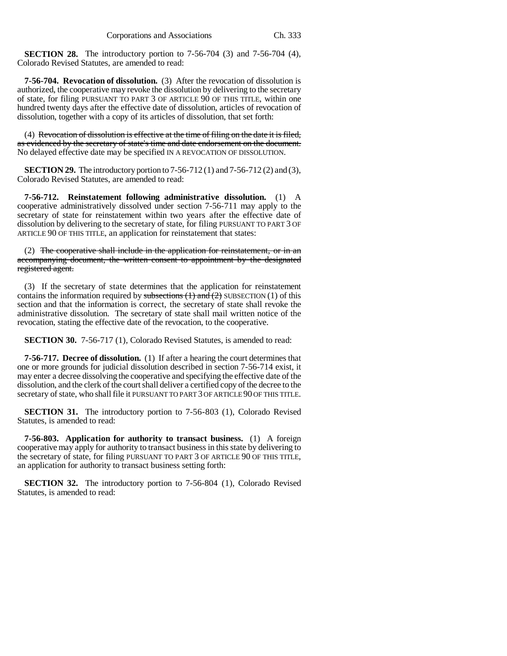**SECTION 28.** The introductory portion to 7-56-704 (3) and 7-56-704 (4), Colorado Revised Statutes, are amended to read:

**7-56-704. Revocation of dissolution.** (3) After the revocation of dissolution is authorized, the cooperative may revoke the dissolution by delivering to the secretary of state, for filing PURSUANT TO PART 3 OF ARTICLE 90 OF THIS TITLE, within one hundred twenty days after the effective date of dissolution, articles of revocation of dissolution, together with a copy of its articles of dissolution, that set forth:

(4) Revocation of dissolution is effective at the time of filing on the date it is filed, as evidenced by the secretary of state's time and date endorsement on the document. No delayed effective date may be specified IN A REVOCATION OF DISSOLUTION.

**SECTION 29.** The introductory portion to 7-56-712 (1) and 7-56-712 (2) and (3), Colorado Revised Statutes, are amended to read:

**7-56-712. Reinstatement following administrative dissolution.** (1) A cooperative administratively dissolved under section 7-56-711 may apply to the secretary of state for reinstatement within two years after the effective date of dissolution by delivering to the secretary of state, for filing PURSUANT TO PART 3 OF ARTICLE 90 OF THIS TITLE, an application for reinstatement that states:

(2) The cooperative shall include in the application for reinstatement, or in an accompanying document, the written consent to appointment by the designated registered agent.

(3) If the secretary of state determines that the application for reinstatement contains the information required by subsections  $(1)$  and  $(2)$  SUBSECTION  $(1)$  of this section and that the information is correct, the secretary of state shall revoke the administrative dissolution. The secretary of state shall mail written notice of the revocation, stating the effective date of the revocation, to the cooperative.

**SECTION 30.** 7-56-717 (1), Colorado Revised Statutes, is amended to read:

**7-56-717. Decree of dissolution.** (1) If after a hearing the court determines that one or more grounds for judicial dissolution described in section 7-56-714 exist, it may enter a decree dissolving the cooperative and specifying the effective date of the dissolution, and the clerk of the court shall deliver a certified copy of the decree to the secretary of state, who shall file it PURSUANT TO PART 3 OF ARTICLE 90 OF THIS TITLE.

**SECTION 31.** The introductory portion to 7-56-803 (1), Colorado Revised Statutes, is amended to read:

**7-56-803. Application for authority to transact business.** (1) A foreign cooperative may apply for authority to transact business in this state by delivering to the secretary of state, for filing PURSUANT TO PART 3 OF ARTICLE 90 OF THIS TITLE, an application for authority to transact business setting forth:

**SECTION 32.** The introductory portion to 7-56-804 (1), Colorado Revised Statutes, is amended to read: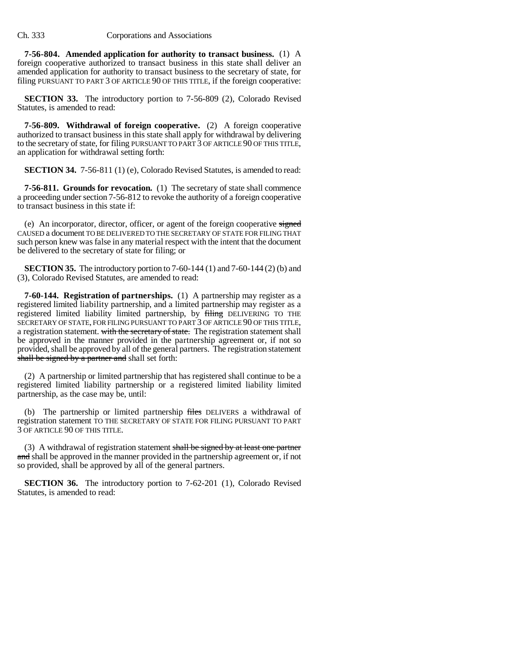**7-56-804. Amended application for authority to transact business.** (1) A foreign cooperative authorized to transact business in this state shall deliver an amended application for authority to transact business to the secretary of state, for filing PURSUANT TO PART 3 OF ARTICLE 90 OF THIS TITLE, if the foreign cooperative:

**SECTION 33.** The introductory portion to 7-56-809 (2), Colorado Revised Statutes, is amended to read:

**7-56-809. Withdrawal of foreign cooperative.** (2) A foreign cooperative authorized to transact business in this state shall apply for withdrawal by delivering to the secretary of state, for filing PURSUANT TO PART 3 OF ARTICLE 90 OF THIS TITLE, an application for withdrawal setting forth:

**SECTION 34.** 7-56-811 (1) (e), Colorado Revised Statutes, is amended to read:

**7-56-811. Grounds for revocation.** (1) The secretary of state shall commence a proceeding under section 7-56-812 to revoke the authority of a foreign cooperative to transact business in this state if:

(e) An incorporator, director, officer, or agent of the foreign cooperative signed CAUSED a document TO BE DELIVERED TO THE SECRETARY OF STATE FOR FILING THAT such person knew was false in any material respect with the intent that the document be delivered to the secretary of state for filing; or

**SECTION 35.** The introductory portion to 7-60-144 (1) and 7-60-144 (2) (b) and (3), Colorado Revised Statutes, are amended to read:

**7-60-144. Registration of partnerships.** (1) A partnership may register as a registered limited liability partnership, and a limited partnership may register as a registered limited liability limited partnership, by filing DELIVERING TO THE SECRETARY OF STATE, FOR FILING PURSUANT TO PART 3 OF ARTICLE 90 OF THIS TITLE, a registration statement. with the secretary of state. The registration statement shall be approved in the manner provided in the partnership agreement or, if not so provided, shall be approved by all of the general partners. The registration statement shall be signed by a partner and shall set forth:

(2) A partnership or limited partnership that has registered shall continue to be a registered limited liability partnership or a registered limited liability limited partnership, as the case may be, until:

(b) The partnership or limited partnership files DELIVERS a withdrawal of registration statement TO THE SECRETARY OF STATE FOR FILING PURSUANT TO PART 3 OF ARTICLE 90 OF THIS TITLE.

(3) A withdrawal of registration statement shall be signed by at least one partner and shall be approved in the manner provided in the partnership agreement or, if not so provided, shall be approved by all of the general partners.

**SECTION 36.** The introductory portion to 7-62-201 (1), Colorado Revised Statutes, is amended to read: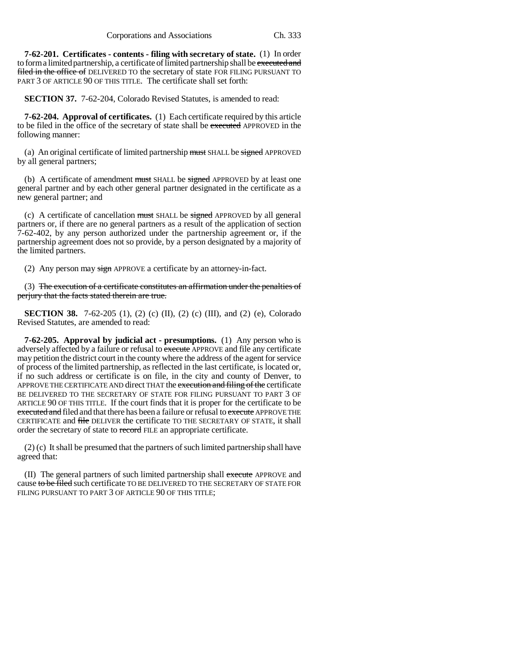**7-62-201. Certificates - contents - filing with secretary of state.** (1) In order to form a limited partnership, a certificate of limited partnership shall be executed and filed in the office of DELIVERED TO the secretary of state FOR FILING PURSUANT TO PART 3 OF ARTICLE 90 OF THIS TITLE. The certificate shall set forth:

**SECTION 37.** 7-62-204, Colorado Revised Statutes, is amended to read:

**7-62-204. Approval of certificates.** (1) Each certificate required by this article to be filed in the office of the secretary of state shall be executed APPROVED in the following manner:

(a) An original certificate of limited partnership must SHALL be signed APPROVED by all general partners;

(b) A certificate of amendment must SHALL be signed APPROVED by at least one general partner and by each other general partner designated in the certificate as a new general partner; and

(c) A certificate of cancellation must SHALL be signed APPROVED by all general partners or, if there are no general partners as a result of the application of section 7-62-402, by any person authorized under the partnership agreement or, if the partnership agreement does not so provide, by a person designated by a majority of the limited partners.

(2) Any person may  $\frac{sign}{p}$  APPROVE a certificate by an attorney-in-fact.

(3) The execution of a certificate constitutes an affirmation under the penalties of perjury that the facts stated therein are true.

**SECTION 38.** 7-62-205 (1), (2) (c) (II), (2) (c) (III), and (2) (e), Colorado Revised Statutes, are amended to read:

**7-62-205. Approval by judicial act - presumptions.** (1) Any person who is adversely affected by a failure or refusal to execute APPROVE and file any certificate may petition the district court in the county where the address of the agent for service of process of the limited partnership, as reflected in the last certificate, is located or, if no such address or certificate is on file, in the city and county of Denver, to APPROVE THE CERTIFICATE AND direct THAT the execution and filing of the certificate BE DELIVERED TO THE SECRETARY OF STATE FOR FILING PURSUANT TO PART 3 OF ARTICLE 90 OF THIS TITLE. If the court finds that it is proper for the certificate to be executed and filed and that there has been a failure or refusal to execute APPROVE THE CERTIFICATE and file DELIVER the certificate TO THE SECRETARY OF STATE, it shall order the secretary of state to record FILE an appropriate certificate.

(2) (c) It shall be presumed that the partners of such limited partnership shall have agreed that:

(II) The general partners of such limited partnership shall execute APPROVE and cause to be filed such certificate TO BE DELIVERED TO THE SECRETARY OF STATE FOR FILING PURSUANT TO PART 3 OF ARTICLE 90 OF THIS TITLE: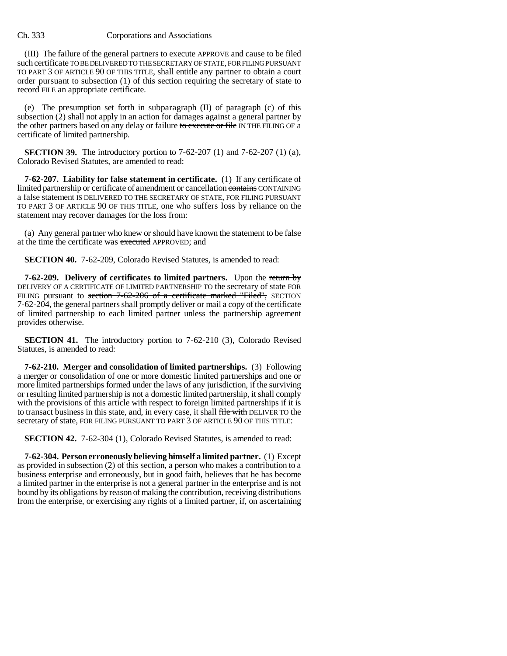(III) The failure of the general partners to execute APPROVE and cause to be filed such certificate TO BE DELIVERED TO THE SECRETARY OF STATE, FOR FILING PURSUANT TO PART 3 OF ARTICLE 90 OF THIS TITLE, shall entitle any partner to obtain a court order pursuant to subsection (1) of this section requiring the secretary of state to record FILE an appropriate certificate.

(e) The presumption set forth in subparagraph (II) of paragraph (c) of this subsection (2) shall not apply in an action for damages against a general partner by the other partners based on any delay or failure to execute or file IN THE FILING OF a certificate of limited partnership.

**SECTION 39.** The introductory portion to 7-62-207 (1) and 7-62-207 (1) (a), Colorado Revised Statutes, are amended to read:

**7-62-207. Liability for false statement in certificate.** (1) If any certificate of limited partnership or certificate of amendment or cancellation contains CONTAINING a false statement IS DELIVERED TO THE SECRETARY OF STATE, FOR FILING PURSUANT TO PART 3 OF ARTICLE 90 OF THIS TITLE, one who suffers loss by reliance on the statement may recover damages for the loss from:

(a) Any general partner who knew or should have known the statement to be false at the time the certificate was executed APPROVED; and

**SECTION 40.** 7-62-209, Colorado Revised Statutes, is amended to read:

**7-62-209. Delivery of certificates to limited partners.** Upon the return by DELIVERY OF A CERTIFICATE OF LIMITED PARTNERSHIP TO the secretary of state FOR FILING pursuant to section 7-62-206 of a certificate marked "Filed", SECTION 7-62-204, the general partners shall promptly deliver or mail a copy of the certificate of limited partnership to each limited partner unless the partnership agreement provides otherwise.

**SECTION 41.** The introductory portion to 7-62-210 (3), Colorado Revised Statutes, is amended to read:

**7-62-210. Merger and consolidation of limited partnerships.** (3) Following a merger or consolidation of one or more domestic limited partnerships and one or more limited partnerships formed under the laws of any jurisdiction, if the surviving or resulting limited partnership is not a domestic limited partnership, it shall comply with the provisions of this article with respect to foreign limited partnerships if it is to transact business in this state, and, in every case, it shall file with DELIVER TO the secretary of state, FOR FILING PURSUANT TO PART 3 OF ARTICLE 90 OF THIS TITLE:

**SECTION 42.** 7-62-304 (1), Colorado Revised Statutes, is amended to read:

**7-62-304. Person erroneously believing himself a limited partner.** (1) Except as provided in subsection (2) of this section, a person who makes a contribution to a business enterprise and erroneously, but in good faith, believes that he has become a limited partner in the enterprise is not a general partner in the enterprise and is not bound by its obligations by reason of making the contribution, receiving distributions from the enterprise, or exercising any rights of a limited partner, if, on ascertaining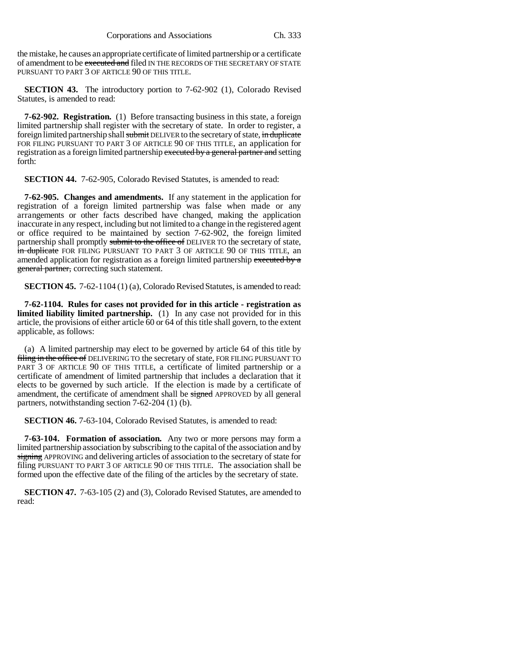the mistake, he causes an appropriate certificate of limited partnership or a certificate of amendment to be executed and filed IN THE RECORDS OF THE SECRETARY OF STATE PURSUANT TO PART 3 OF ARTICLE 90 OF THIS TITLE.

**SECTION 43.** The introductory portion to 7-62-902 (1), Colorado Revised Statutes, is amended to read:

**7-62-902. Registration.** (1) Before transacting business in this state, a foreign limited partnership shall register with the secretary of state. In order to register, a foreign limited partnership shall submit DELIVER to the secretary of state, in duplicate FOR FILING PURSUANT TO PART 3 OF ARTICLE 90 OF THIS TITLE, an application for registration as a foreign limited partnership executed by a general partner and setting forth:

**SECTION 44.** 7-62-905, Colorado Revised Statutes, is amended to read:

**7-62-905. Changes and amendments.** If any statement in the application for registration of a foreign limited partnership was false when made or any arrangements or other facts described have changed, making the application inaccurate in any respect, including but not limited to a change in the registered agent or office required to be maintained by section 7-62-902, the foreign limited partnership shall promptly submit to the office of DELIVER TO the secretary of state, in duplicate FOR FILING PURSUANT TO PART 3 OF ARTICLE 90 OF THIS TITLE, an amended application for registration as a foreign limited partnership executed by a general partner, correcting such statement.

**SECTION 45.** 7-62-1104 (1) (a), Colorado Revised Statutes, is amended to read:

**7-62-1104. Rules for cases not provided for in this article - registration as limited liability limited partnership.** (1) In any case not provided for in this article, the provisions of either article 60 or 64 of this title shall govern, to the extent applicable, as follows:

(a) A limited partnership may elect to be governed by article 64 of this title by filing in the office of DELIVERING TO the secretary of state, FOR FILING PURSUANT TO PART 3 OF ARTICLE 90 OF THIS TITLE, a certificate of limited partnership or a certificate of amendment of limited partnership that includes a declaration that it elects to be governed by such article. If the election is made by a certificate of amendment, the certificate of amendment shall be signed APPROVED by all general partners, notwithstanding section 7-62-204 (1) (b).

**SECTION 46.** 7-63-104, Colorado Revised Statutes, is amended to read:

**7-63-104. Formation of association.** Any two or more persons may form a limited partnership association by subscribing to the capital of the association and by signing APPROVING and delivering articles of association to the secretary of state for filing PURSUANT TO PART 3 OF ARTICLE 90 OF THIS TITLE. The association shall be formed upon the effective date of the filing of the articles by the secretary of state.

**SECTION 47.** 7-63-105 (2) and (3), Colorado Revised Statutes, are amended to read: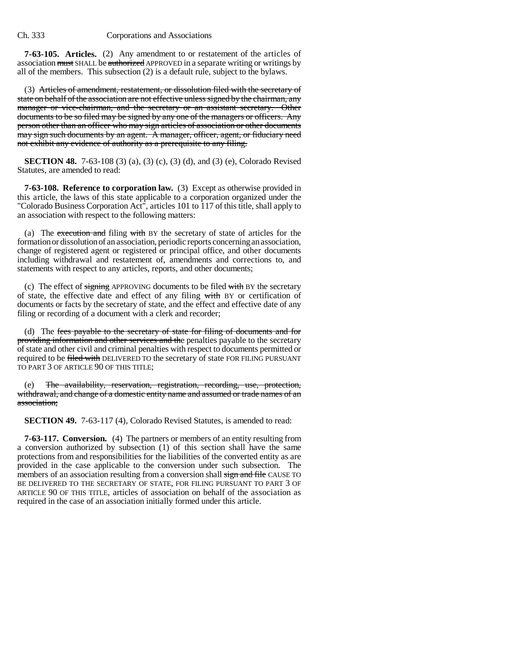**7-63-105. Articles.** (2) Any amendment to or restatement of the articles of association must SHALL be authorized APPROVED in a separate writing or writings by all of the members. This subsection (2) is a default rule, subject to the bylaws.

(3) Articles of amendment, restatement, or dissolution filed with the secretary of state on behalf of the association are not effective unless signed by the chairman, any manager or vice-chairman, and the secretary or an assistant secretary. Other documents to be so filed may be signed by any one of the managers or officers. Any person other than an officer who may sign articles of association or other documents may sign such documents by an agent. A manager, officer, agent, or fiduciary need not exhibit any evidence of authority as a prerequisite to any filing.

**SECTION 48.** 7-63-108 (3) (a), (3) (c), (3) (d), and (3) (e), Colorado Revised Statutes, are amended to read:

**7-63-108. Reference to corporation law.** (3) Except as otherwise provided in this article, the laws of this state applicable to a corporation organized under the "Colorado Business Corporation Act", articles 101 to 117 of this title, shall apply to an association with respect to the following matters:

(a) The execution and filing with BY the secretary of state of articles for the formation or dissolution of an association, periodic reports concerning an association, change of registered agent or registered or principal office, and other documents including withdrawal and restatement of, amendments and corrections to, and statements with respect to any articles, reports, and other documents;

(c) The effect of signing APPROVING documents to be filed with BY the secretary of state, the effective date and effect of any filing with BY or certification of documents or facts by the secretary of state, and the effect and effective date of any filing or recording of a document with a clerk and recorder;

(d) The fees payable to the secretary of state for filing of documents and for providing information and other services and the penalties payable to the secretary of state and other civil and criminal penalties with respect to documents permitted or required to be filed with DELIVERED TO the secretary of state FOR FILING PURSUANT TO PART 3 OF ARTICLE 90 OF THIS TITLE;

(e) The availability, reservation, registration, recording, use, protection, withdrawal, and change of a domestic entity name and assumed or trade names of an association;

**SECTION 49.** 7-63-117 (4), Colorado Revised Statutes, is amended to read:

**7-63-117. Conversion.** (4) The partners or members of an entity resulting from a conversion authorized by subsection (1) of this section shall have the same protections from and responsibilities for the liabilities of the converted entity as are provided in the case applicable to the conversion under such subsection. The members of an association resulting from a conversion shall sign and file CAUSE TO BE DELIVERED TO THE SECRETARY OF STATE, FOR FILING PURSUANT TO PART 3 OF ARTICLE 90 OF THIS TITLE, articles of association on behalf of the association as required in the case of an association initially formed under this article.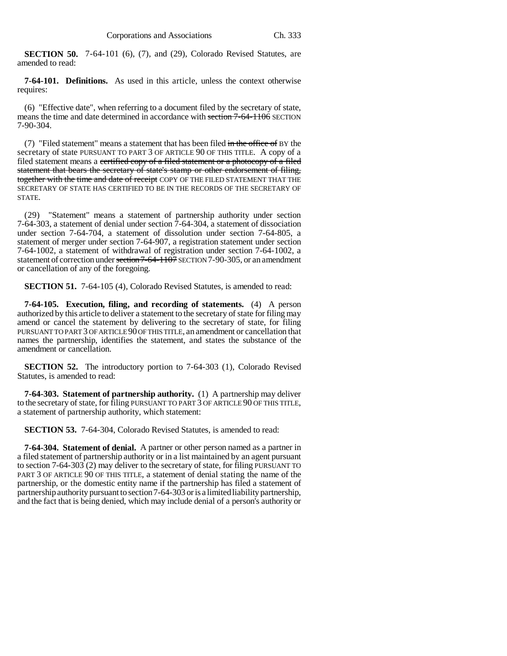**SECTION 50.** 7-64-101 (6), (7), and (29), Colorado Revised Statutes, are amended to read:

**7-64-101. Definitions.** As used in this article, unless the context otherwise requires:

(6) "Effective date", when referring to a document filed by the secretary of state, means the time and date determined in accordance with section 7-64-1106 SECTION 7-90-304.

(7) "Filed statement" means a statement that has been filed in the office of BY the secretary of state PURSUANT TO PART 3 OF ARTICLE 90 OF THIS TITLE. A copy of a filed statement means a certified copy of a filed statement or a photocopy of a filed statement that bears the secretary of state's stamp or other endorsement of filing, together with the time and date of receipt COPY OF THE FILED STATEMENT THAT THE SECRETARY OF STATE HAS CERTIFIED TO BE IN THE RECORDS OF THE SECRETARY OF STATE.

(29) "Statement" means a statement of partnership authority under section 7-64-303, a statement of denial under section 7-64-304, a statement of dissociation under section 7-64-704, a statement of dissolution under section 7-64-805, a statement of merger under section 7-64-907, a registration statement under section 7-64-1002, a statement of withdrawal of registration under section 7-64-1002, a statement of correction under section 7-64-1107 SECTION 7-90-305, or an amendment or cancellation of any of the foregoing.

**SECTION 51.** 7-64-105 (4), Colorado Revised Statutes, is amended to read:

**7-64-105. Execution, filing, and recording of statements.** (4) A person authorized by this article to deliver a statement to the secretary of state for filing may amend or cancel the statement by delivering to the secretary of state, for filing PURSUANT TO PART 3 OF ARTICLE 90 OF THIS TITLE, an amendment or cancellation that names the partnership, identifies the statement, and states the substance of the amendment or cancellation.

**SECTION 52.** The introductory portion to 7-64-303 (1), Colorado Revised Statutes, is amended to read:

**7-64-303. Statement of partnership authority.** (1) A partnership may deliver to the secretary of state, for filing PURSUANT TO PART 3 OF ARTICLE 90 OF THIS TITLE, a statement of partnership authority, which statement:

**SECTION 53.** 7-64-304, Colorado Revised Statutes, is amended to read:

**7-64-304. Statement of denial.** A partner or other person named as a partner in a filed statement of partnership authority or in a list maintained by an agent pursuant to section 7-64-303 (2) may deliver to the secretary of state, for filing PURSUANT TO PART 3 OF ARTICLE 90 OF THIS TITLE, a statement of denial stating the name of the partnership, or the domestic entity name if the partnership has filed a statement of partnership authority pursuant to section 7-64-303 or is a limited liability partnership, and the fact that is being denied, which may include denial of a person's authority or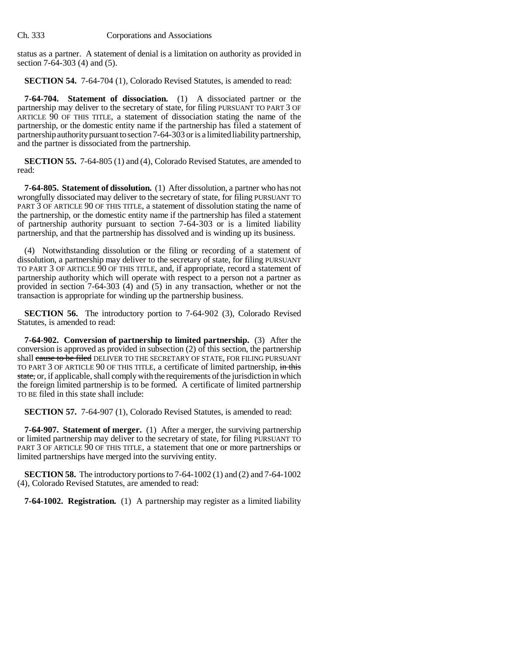status as a partner. A statement of denial is a limitation on authority as provided in section 7-64-303 (4) and (5).

**SECTION 54.** 7-64-704 (1), Colorado Revised Statutes, is amended to read:

**7-64-704. Statement of dissociation.** (1) A dissociated partner or the partnership may deliver to the secretary of state, for filing PURSUANT TO PART 3 OF ARTICLE 90 OF THIS TITLE, a statement of dissociation stating the name of the partnership, or the domestic entity name if the partnership has filed a statement of partnership authority pursuant to section 7-64-303 or is a limited liability partnership, and the partner is dissociated from the partnership.

**SECTION 55.** 7-64-805 (1) and (4), Colorado Revised Statutes, are amended to read:

**7-64-805. Statement of dissolution.** (1) After dissolution, a partner who has not wrongfully dissociated may deliver to the secretary of state, for filing PURSUANT TO PART 3 OF ARTICLE 90 OF THIS TITLE, a statement of dissolution stating the name of the partnership, or the domestic entity name if the partnership has filed a statement of partnership authority pursuant to section 7-64-303 or is a limited liability partnership, and that the partnership has dissolved and is winding up its business.

(4) Notwithstanding dissolution or the filing or recording of a statement of dissolution, a partnership may deliver to the secretary of state, for filing PURSUANT TO PART 3 OF ARTICLE 90 OF THIS TITLE, and, if appropriate, record a statement of partnership authority which will operate with respect to a person not a partner as provided in section 7-64-303 (4) and (5) in any transaction, whether or not the transaction is appropriate for winding up the partnership business.

**SECTION 56.** The introductory portion to 7-64-902 (3), Colorado Revised Statutes, is amended to read:

**7-64-902. Conversion of partnership to limited partnership.** (3) After the conversion is approved as provided in subsection (2) of this section, the partnership shall cause to be filed DELIVER TO THE SECRETARY OF STATE, FOR FILING PURSUANT TO PART 3 OF ARTICLE 90 OF THIS TITLE, a certificate of limited partnership, in this state, or, if applicable, shall comply with the requirements of the jurisdiction in which the foreign limited partnership is to be formed. A certificate of limited partnership TO BE filed in this state shall include:

**SECTION 57.** 7-64-907 (1), Colorado Revised Statutes, is amended to read:

**7-64-907. Statement of merger.** (1) After a merger, the surviving partnership or limited partnership may deliver to the secretary of state, for filing PURSUANT TO PART 3 OF ARTICLE 90 OF THIS TITLE, a statement that one or more partnerships or limited partnerships have merged into the surviving entity.

**SECTION 58.** The introductory portions to 7-64-1002 (1) and (2) and 7-64-1002 (4), Colorado Revised Statutes, are amended to read:

**7-64-1002. Registration.** (1) A partnership may register as a limited liability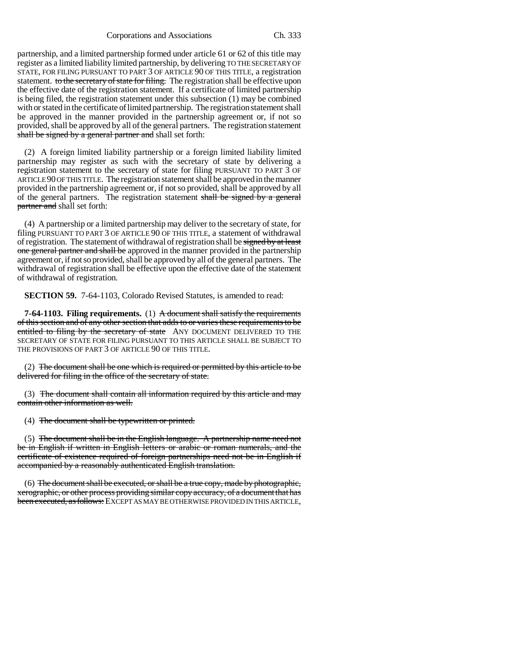Corporations and Associations Ch. 333

partnership, and a limited partnership formed under article 61 or 62 of this title may register as a limited liability limited partnership, by delivering TO THE SECRETARY OF STATE, FOR FILING PURSUANT TO PART 3 OF ARTICLE 90 OF THIS TITLE, a registration statement. to the secretary of state for filing. The registration shall be effective upon the effective date of the registration statement. If a certificate of limited partnership is being filed, the registration statement under this subsection (1) may be combined with or stated in the certificate of limited partnership. The registration statement shall be approved in the manner provided in the partnership agreement or, if not so provided, shall be approved by all of the general partners. The registration statement shall be signed by a general partner and shall set forth:

(2) A foreign limited liability partnership or a foreign limited liability limited partnership may register as such with the secretary of state by delivering a registration statement to the secretary of state for filing PURSUANT TO PART 3 OF ARTICLE 90 OF THIS TITLE. The registration statement shall be approved in the manner provided in the partnership agreement or, if not so provided, shall be approved by all of the general partners. The registration statement shall be signed by a general partner and shall set forth:

(4) A partnership or a limited partnership may deliver to the secretary of state, for filing PURSUANT TO PART 3 OF ARTICLE 90 OF THIS TITLE, a statement of withdrawal of registration. The statement of withdrawal of registration shall be signed by at least one general partner and shall be approved in the manner provided in the partnership agreement or, if not so provided, shall be approved by all of the general partners. The withdrawal of registration shall be effective upon the effective date of the statement of withdrawal of registration.

**SECTION 59.** 7-64-1103, Colorado Revised Statutes, is amended to read:

**7-64-1103. Filing requirements.** (1) A document shall satisfy the requirements of this section and of any other section that adds to or varies these requirements to be entitled to filing by the secretary of state ANY DOCUMENT DELIVERED TO THE SECRETARY OF STATE FOR FILING PURSUANT TO THIS ARTICLE SHALL BE SUBJECT TO THE PROVISIONS OF PART 3 OF ARTICLE 90 OF THIS TITLE.

(2) The document shall be one which is required or permitted by this article to be delivered for filing in the office of the secretary of state.

(3) The document shall contain all information required by this article and may contain other information as well.

(4) The document shall be typewritten or printed.

(5) The document shall be in the English language. A partnership name need not be in English if written in English letters or arabic or roman numerals, and the certificate of existence required of foreign partnerships need not be in English if accompanied by a reasonably authenticated English translation.

(6) The document shall be executed, or shall be a true copy, made by photographic, xerographic, or other process providing similar copy accuracy, of a document that has been executed, as follows: EXCEPT AS MAY BE OTHERWISE PROVIDED IN THIS ARTICLE,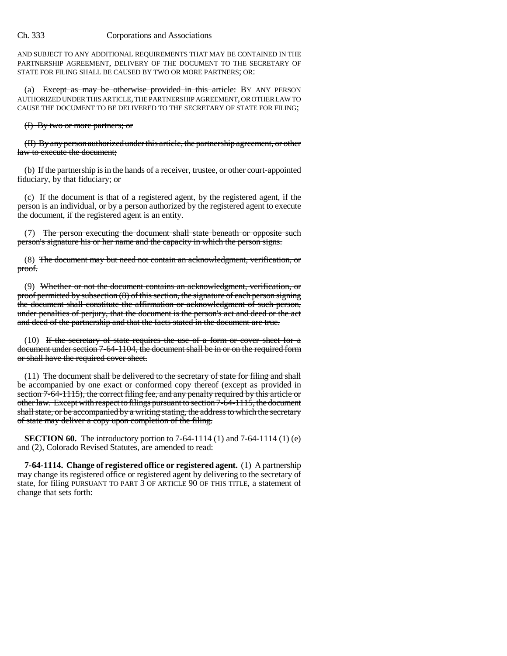AND SUBJECT TO ANY ADDITIONAL REQUIREMENTS THAT MAY BE CONTAINED IN THE PARTNERSHIP AGREEMENT, DELIVERY OF THE DOCUMENT TO THE SECRETARY OF STATE FOR FILING SHALL BE CAUSED BY TWO OR MORE PARTNERS; OR:

(a) Except as may be otherwise provided in this article: BY ANY PERSON AUTHORIZED UNDER THIS ARTICLE, THE PARTNERSHIP AGREEMENT, OR OTHER LAW TO CAUSE THE DOCUMENT TO BE DELIVERED TO THE SECRETARY OF STATE FOR FILING;

### (I) By two or more partners; or

(II) By any person authorized under this article, the partnership agreement, or other law to execute the document;

(b) If the partnership is in the hands of a receiver, trustee, or other court-appointed fiduciary, by that fiduciary; or

(c) If the document is that of a registered agent, by the registered agent, if the person is an individual, or by a person authorized by the registered agent to execute the document, if the registered agent is an entity.

(7) The person executing the document shall state beneath or opposite such person's signature his or her name and the capacity in which the person signs.

(8) The document may but need not contain an acknowledgment, verification, or proof.

(9) Whether or not the document contains an acknowledgment, verification, or proof permitted by subsection (8) of this section, the signature of each person signing the document shall constitute the affirmation or acknowledgment of such person, under penalties of perjury, that the document is the person's act and deed or the act and deed of the partnership and that the facts stated in the document are true.

(10) If the secretary of state requires the use of a form or cover sheet for a document under section 7-64-1104, the document shall be in or on the required form or shall have the required cover sheet.

(11) The document shall be delivered to the secretary of state for filing and shall be accompanied by one exact or conformed copy thereof (except as provided in section 7-64-1115), the correct filing fee, and any penalty required by this article or other law. Except with respect to filings pursuant to section 7-64-1115, the document shall state, or be accompanied by a writing stating, the address to which the secretary of state may deliver a copy upon completion of the filing.

**SECTION 60.** The introductory portion to 7-64-1114 (1) and 7-64-1114 (1) (e) and (2), Colorado Revised Statutes, are amended to read:

**7-64-1114. Change of registered office or registered agent.** (1) A partnership may change its registered office or registered agent by delivering to the secretary of state, for filing PURSUANT TO PART 3 OF ARTICLE 90 OF THIS TITLE, a statement of change that sets forth: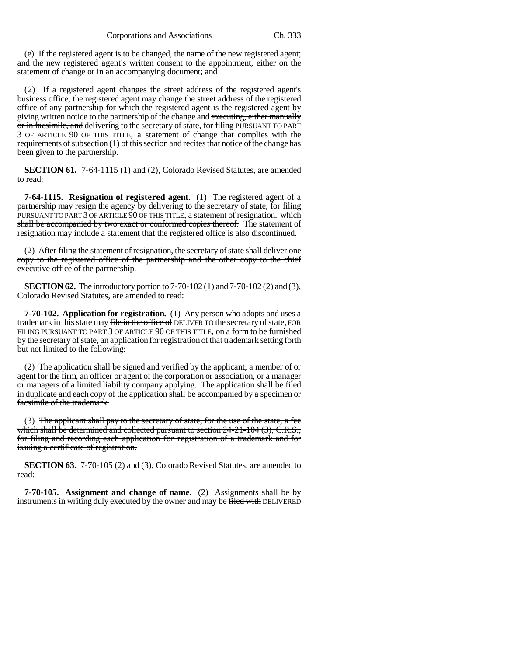(e) If the registered agent is to be changed, the name of the new registered agent; and the new registered agent's written consent to the appointment, either on the statement of change or in an accompanying document; and

(2) If a registered agent changes the street address of the registered agent's business office, the registered agent may change the street address of the registered office of any partnership for which the registered agent is the registered agent by giving written notice to the partnership of the change and executing, either manually or in facsimile, and delivering to the secretary of state, for filing PURSUANT TO PART 3 OF ARTICLE 90 OF THIS TITLE, a statement of change that complies with the requirements of subsection (1) of this section and recites that notice of the change has been given to the partnership.

**SECTION 61.** 7-64-1115 (1) and (2), Colorado Revised Statutes, are amended to read:

**7-64-1115. Resignation of registered agent.** (1) The registered agent of a partnership may resign the agency by delivering to the secretary of state, for filing PURSUANT TO PART 3 OF ARTICLE 90 OF THIS TITLE, a statement of resignation. which shall be accompanied by two exact or conformed copies thereof. The statement of resignation may include a statement that the registered office is also discontinued.

(2) After filing the statement of resignation, the secretary of state shall deliver one copy to the registered office of the partnership and the other copy to the chief executive office of the partnership.

**SECTION 62.** The introductory portion to 7-70-102 (1) and 7-70-102 (2) and (3), Colorado Revised Statutes, are amended to read:

**7-70-102. Application for registration.** (1) Any person who adopts and uses a trademark in this state may file in the office of DELIVER TO the secretary of state, FOR FILING PURSUANT TO PART 3 OF ARTICLE 90 OF THIS TITLE, on a form to be furnished by the secretary of state, an application for registration of that trademark setting forth but not limited to the following:

(2) The application shall be signed and verified by the applicant, a member of or agent for the firm, an officer or agent of the corporation or association, or a manager or managers of a limited liability company applying. The application shall be filed in duplicate and each copy of the application shall be accompanied by a specimen or facsimile of the trademark.

(3) The applicant shall pay to the secretary of state, for the use of the state, a fee which shall be determined and collected pursuant to section  $24-21-104$  (3), C.R.S., for filing and recording each application for registration of a trademark and for issuing a certificate of registration.

**SECTION 63.** 7-70-105 (2) and (3), Colorado Revised Statutes, are amended to read:

**7-70-105. Assignment and change of name.** (2) Assignments shall be by instruments in writing duly executed by the owner and may be filed with DELIVERED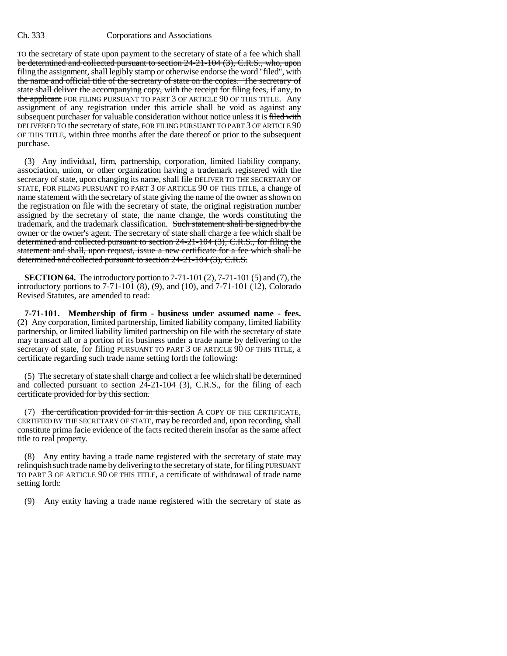TO the secretary of state upon payment to the secretary of state of a fee which shall be determined and collected pursuant to section 24-21-104 (3), C.R.S., who, upon filing the assignment, shall legibly stamp or otherwise endorse the word "filed", with the name and official title of the secretary of state on the copies. The secretary of state shall deliver the accompanying copy, with the receipt for filing fees, if any, to the applicant FOR FILING PURSUANT TO PART 3 OF ARTICLE 90 OF THIS TITLE. Any assignment of any registration under this article shall be void as against any subsequent purchaser for valuable consideration without notice unless it is filed with DELIVERED TO the secretary of state, FOR FILING PURSUANT TO PART 3 OF ARTICLE 90 OF THIS TITLE, within three months after the date thereof or prior to the subsequent purchase.

(3) Any individual, firm, partnership, corporation, limited liability company, association, union, or other organization having a trademark registered with the secretary of state, upon changing its name, shall file DELIVER TO THE SECRETARY OF STATE, FOR FILING PURSUANT TO PART 3 OF ARTICLE 90 OF THIS TITLE, a change of name statement with the secretary of state giving the name of the owner as shown on the registration on file with the secretary of state, the original registration number assigned by the secretary of state, the name change, the words constituting the trademark, and the trademark classification. Such statement shall be signed by the owner or the owner's agent. The secretary of state shall charge a fee which shall be determined and collected pursuant to section 24-21-104 (3), C.R.S., for filing the statement and shall, upon request, issue a new certificate for a fee which shall be determined and collected pursuant to section 24-21-104 (3), C.R.S.

**SECTION 64.** The introductory portion to 7-71-101 (2), 7-71-101 (5) and (7), the introductory portions to 7-71-101 (8), (9), and (10), and 7-71-101 (12), Colorado Revised Statutes, are amended to read:

**7-71-101. Membership of firm - business under assumed name - fees.** (2) Any corporation, limited partnership, limited liability company, limited liability partnership, or limited liability limited partnership on file with the secretary of state may transact all or a portion of its business under a trade name by delivering to the secretary of state, for filing PURSUANT TO PART 3 OF ARTICLE 90 OF THIS TITLE, a certificate regarding such trade name setting forth the following:

(5) The secretary of state shall charge and collect a fee which shall be determined and collected pursuant to section 24-21-104 (3), C.R.S., for the filing of each certificate provided for by this section.

(7) The certification provided for in this section A COPY OF THE CERTIFICATE, CERTIFIED BY THE SECRETARY OF STATE, may be recorded and, upon recording, shall constitute prima facie evidence of the facts recited therein insofar as the same affect title to real property.

(8) Any entity having a trade name registered with the secretary of state may relinquish such trade name by delivering to the secretary of state, for filing PURSUANT TO PART 3 OF ARTICLE 90 OF THIS TITLE, a certificate of withdrawal of trade name setting forth:

(9) Any entity having a trade name registered with the secretary of state as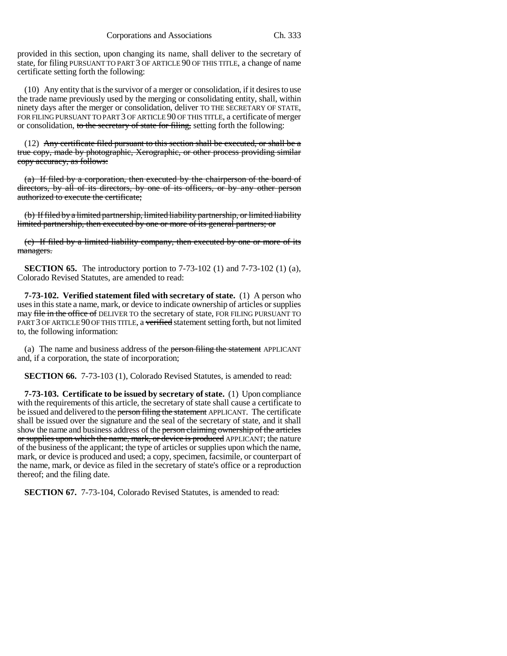provided in this section, upon changing its name, shall deliver to the secretary of state, for filing PURSUANT TO PART 3 OF ARTICLE 90 OF THIS TITLE, a change of name certificate setting forth the following:

(10) Any entity that is the survivor of a merger or consolidation, if it desires to use the trade name previously used by the merging or consolidating entity, shall, within ninety days after the merger or consolidation, deliver TO THE SECRETARY OF STATE, FOR FILING PURSUANT TO PART 3 OF ARTICLE 90 OF THIS TITLE, a certificate of merger or consolidation, to the secretary of state for filing, setting forth the following:

 $(12)$  Any certificate filed pursuant to this section shall be executed, or shall be a true copy, made by photographic, Xerographic, or other process providing similar copy accuracy, as follows:

(a) If filed by a corporation, then executed by the chairperson of the board of directors, by all of its directors, by one of its officers, or by any other person authorized to execute the certificate;

(b) If filed by a limited partnership, limited liability partnership, or limited liability limited partnership, then executed by one or more of its general partners; or

(c) If filed by a limited liability company, then executed by one or more of its managers.

**SECTION 65.** The introductory portion to 7-73-102 (1) and 7-73-102 (1) (a), Colorado Revised Statutes, are amended to read:

**7-73-102. Verified statement filed with secretary of state.** (1) A person who uses in this state a name, mark, or device to indicate ownership of articles or supplies may file in the office of DELIVER TO the secretary of state, FOR FILING PURSUANT TO PART 3 OF ARTICLE 90 OF THIS TITLE, a verified statement setting forth, but not limited to, the following information:

(a) The name and business address of the person filing the statement APPLICANT and, if a corporation, the state of incorporation;

**SECTION 66.** 7-73-103 (1), Colorado Revised Statutes, is amended to read:

**7-73-103. Certificate to be issued by secretary of state.** (1) Upon compliance with the requirements of this article, the secretary of state shall cause a certificate to be issued and delivered to the person filing the statement APPLICANT. The certificate shall be issued over the signature and the seal of the secretary of state, and it shall show the name and business address of the person claiming ownership of the articles or supplies upon which the name, mark, or device is produced APPLICANT; the nature of the business of the applicant; the type of articles or supplies upon which the name, mark, or device is produced and used; a copy, specimen, facsimile, or counterpart of the name, mark, or device as filed in the secretary of state's office or a reproduction thereof; and the filing date.

**SECTION 67.** 7-73-104, Colorado Revised Statutes, is amended to read: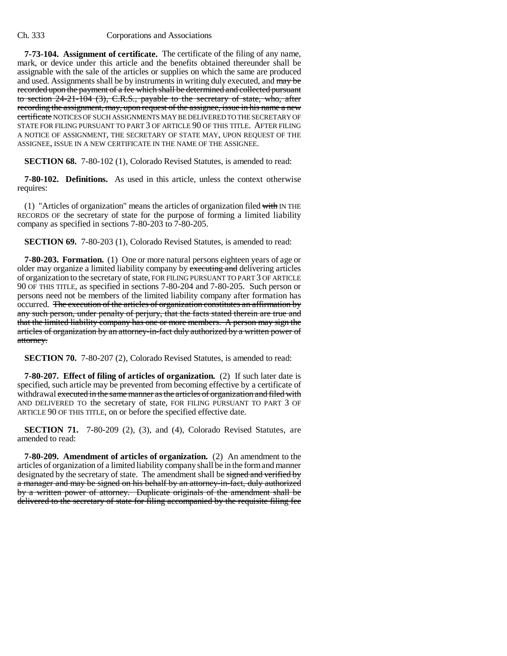**7-73-104. Assignment of certificate.** The certificate of the filing of any name, mark, or device under this article and the benefits obtained thereunder shall be assignable with the sale of the articles or supplies on which the same are produced and used. Assignments shall be by instruments in writing duly executed, and may be recorded upon the payment of a fee which shall be determined and collected pursuant to section 24-21-104 (3), C.R.S., payable to the secretary of state, who, after recording the assignment, may, upon request of the assignee, issue in his name a new certificate NOTICES OF SUCH ASSIGNMENTS MAY BE DELIVERED TO THE SECRETARY OF STATE FOR FILING PURSUANT TO PART 3 OF ARTICLE 90 OF THIS TITLE. AFTER FILING A NOTICE OF ASSIGNMENT, THE SECRETARY OF STATE MAY, UPON REQUEST OF THE ASSIGNEE, ISSUE IN A NEW CERTIFICATE IN THE NAME OF THE ASSIGNEE.

**SECTION 68.** 7-80-102 (1), Colorado Revised Statutes, is amended to read:

**7-80-102. Definitions.** As used in this article, unless the context otherwise requires:

(1) "Articles of organization" means the articles of organization filed with IN THE RECORDS OF the secretary of state for the purpose of forming a limited liability company as specified in sections 7-80-203 to 7-80-205.

**SECTION 69.** 7-80-203 (1), Colorado Revised Statutes, is amended to read:

**7-80-203. Formation.** (1) One or more natural persons eighteen years of age or older may organize a limited liability company by executing and delivering articles of organization to the secretary of state, FOR FILING PURSUANT TO PART 3 OF ARTICLE 90 OF THIS TITLE, as specified in sections 7-80-204 and 7-80-205. Such person or persons need not be members of the limited liability company after formation has occurred. The execution of the articles of organization constitutes an affirmation by any such person, under penalty of perjury, that the facts stated therein are true and that the limited liability company has one or more members. A person may sign the articles of organization by an attorney-in-fact duly authorized by a written power of attorney.

**SECTION 70.** 7-80-207 (2), Colorado Revised Statutes, is amended to read:

**7-80-207. Effect of filing of articles of organization.** (2) If such later date is specified, such article may be prevented from becoming effective by a certificate of withdrawal executed in the same manner as the articles of organization and filed with AND DELIVERED TO the secretary of state, FOR FILING PURSUANT TO PART 3 OF ARTICLE 90 OF THIS TITLE, on or before the specified effective date.

**SECTION 71.** 7-80-209 (2), (3), and (4), Colorado Revised Statutes, are amended to read:

**7-80-209. Amendment of articles of organization.** (2) An amendment to the articles of organization of a limited liability company shall be in the form and manner designated by the secretary of state. The amendment shall be signed and verified by a manager and may be signed on his behalf by an attorney-in-fact, duly authorized by a written power of attorney. Duplicate originals of the amendment shall be delivered to the secretary of state for filing accompanied by the requisite filing fee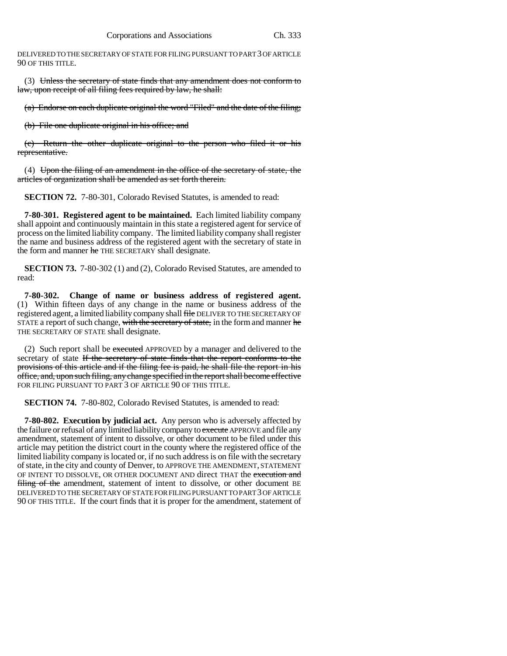DELIVERED TO THE SECRETARY OF STATE FOR FILING PURSUANT TO PART 3 OF ARTICLE 90 OF THIS TITLE.

(3) Unless the secretary of state finds that any amendment does not conform to law, upon receipt of all filing fees required by law, he shall:

(a) Endorse on each duplicate original the word "Filed" and the date of the filing;

(b) File one duplicate original in his office; and

(c) Return the other duplicate original to the person who filed it or his representative.

(4) Upon the filing of an amendment in the office of the secretary of state, the articles of organization shall be amended as set forth therein.

**SECTION 72.** 7-80-301, Colorado Revised Statutes, is amended to read:

**7-80-301. Registered agent to be maintained.** Each limited liability company shall appoint and continuously maintain in this state a registered agent for service of process on the limited liability company. The limited liability company shall register the name and business address of the registered agent with the secretary of state in the form and manner he THE SECRETARY shall designate.

**SECTION 73.** 7-80-302 (1) and (2), Colorado Revised Statutes, are amended to read:

**7-80-302. Change of name or business address of registered agent.** (1) Within fifteen days of any change in the name or business address of the registered agent, a limited liability company shall file DELIVER TO THE SECRETARY OF STATE a report of such change, with the secretary of state, in the form and manner he THE SECRETARY OF STATE shall designate.

(2) Such report shall be executed APPROVED by a manager and delivered to the secretary of state If the secretary of state finds that the report conforms to the provisions of this article and if the filing fee is paid, he shall file the report in his office, and, upon such filing, any change specified in the report shall become effective FOR FILING PURSUANT TO PART 3 OF ARTICLE 90 OF THIS TITLE.

**SECTION 74.** 7-80-802, Colorado Revised Statutes, is amended to read:

**7-80-802. Execution by judicial act.** Any person who is adversely affected by the failure or refusal of any limited liability company to execute APPROVE and file any amendment, statement of intent to dissolve, or other document to be filed under this article may petition the district court in the county where the registered office of the limited liability company is located or, if no such address is on file with the secretary of state, in the city and county of Denver, to APPROVE THE AMENDMENT, STATEMENT OF INTENT TO DISSOLVE, OR OTHER DOCUMENT AND direct THAT the execution and filing of the amendment, statement of intent to dissolve, or other document BE DELIVERED TO THE SECRETARY OF STATE FOR FILING PURSUANT TO PART 3 OF ARTICLE 90 OF THIS TITLE. If the court finds that it is proper for the amendment, statement of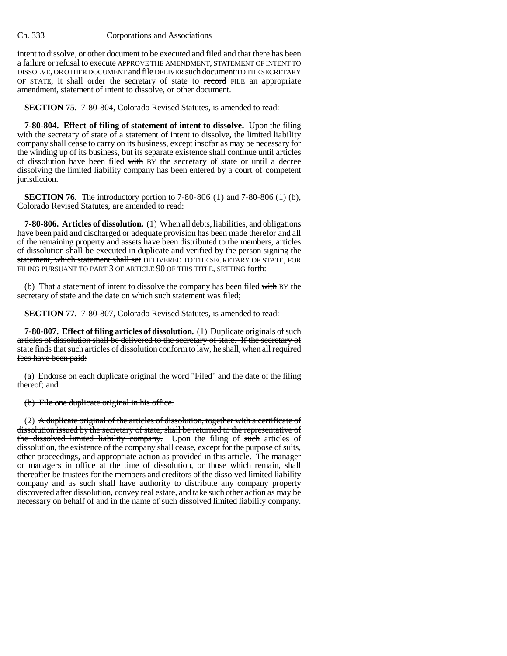intent to dissolve, or other document to be executed and filed and that there has been a failure or refusal to execute APPROVE THE AMENDMENT, STATEMENT OF INTENT TO DISSOLVE, OR OTHER DOCUMENT and file DELIVER such document TO THE SECRETARY OF STATE, it shall order the secretary of state to record FILE an appropriate amendment, statement of intent to dissolve, or other document.

**SECTION 75.** 7-80-804, Colorado Revised Statutes, is amended to read:

**7-80-804. Effect of filing of statement of intent to dissolve.** Upon the filing with the secretary of state of a statement of intent to dissolve, the limited liability company shall cease to carry on its business, except insofar as may be necessary for the winding up of its business, but its separate existence shall continue until articles of dissolution have been filed with BY the secretary of state or until a decree dissolving the limited liability company has been entered by a court of competent jurisdiction.

**SECTION 76.** The introductory portion to 7-80-806 (1) and 7-80-806 (1) (b), Colorado Revised Statutes, are amended to read:

**7-80-806. Articles of dissolution.** (1) When all debts, liabilities, and obligations have been paid and discharged or adequate provision has been made therefor and all of the remaining property and assets have been distributed to the members, articles of dissolution shall be executed in duplicate and verified by the person signing the statement, which statement shall set DELIVERED TO THE SECRETARY OF STATE, FOR FILING PURSUANT TO PART 3 OF ARTICLE 90 OF THIS TITLE, SETTING forth:

(b) That a statement of intent to dissolve the company has been filed with BY the secretary of state and the date on which such statement was filed;

**SECTION 77.** 7-80-807, Colorado Revised Statutes, is amended to read:

**7-80-807. Effect of filing articles of dissolution.** (1) Duplicate originals of such articles of dissolution shall be delivered to the secretary of state. If the secretary of state finds that such articles of dissolution conform to law, he shall, when all required fees have been paid:

(a) Endorse on each duplicate original the word "Filed" and the date of the filing thereof; and

(b) File one duplicate original in his office.

(2) A duplicate original of the articles of dissolution, together with a certificate of dissolution issued by the secretary of state, shall be returned to the representative of the dissolved limited liability company. Upon the filing of such articles of dissolution, the existence of the company shall cease, except for the purpose of suits, other proceedings, and appropriate action as provided in this article. The manager or managers in office at the time of dissolution, or those which remain, shall thereafter be trustees for the members and creditors of the dissolved limited liability company and as such shall have authority to distribute any company property discovered after dissolution, convey real estate, and take such other action as may be necessary on behalf of and in the name of such dissolved limited liability company.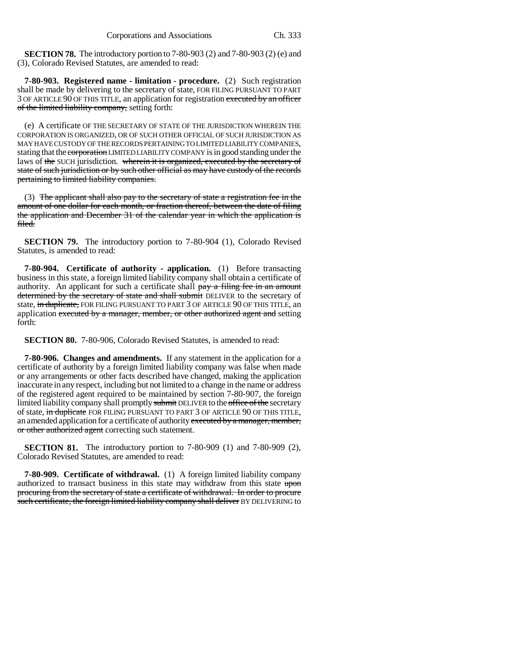**SECTION 78.** The introductory portion to 7-80-903 (2) and 7-80-903 (2) (e) and (3), Colorado Revised Statutes, are amended to read:

**7-80-903. Registered name - limitation - procedure.** (2) Such registration shall be made by delivering to the secretary of state, FOR FILING PURSUANT TO PART 3 OF ARTICLE 90 OF THIS TITLE, an application for registration executed by an officer of the limited liability company, setting forth:

(e) A certificate OF THE SECRETARY OF STATE OF THE JURISDICTION WHEREIN THE CORPORATION IS ORGANIZED, OR OF SUCH OTHER OFFICIAL OF SUCH JURISDICTION AS MAY HAVE CUSTODY OF THE RECORDS PERTAINING TO LIMITED LIABILITY COMPANIES, stating that the corporation LIMITED LIABILITY COMPANY is in good standing under the laws of the SUCH jurisdiction. wherein it is organized, executed by the secretary of state of such jurisdiction or by such other official as may have custody of the records pertaining to limited liability companies.

(3) The applicant shall also pay to the secretary of state a registration fee in the amount of one dollar for each month, or fraction thereof, between the date of filing the application and December 31 of the calendar year in which the application is filed.

**SECTION 79.** The introductory portion to 7-80-904 (1), Colorado Revised Statutes, is amended to read:

**7-80-904. Certificate of authority - application.** (1) Before transacting business in this state, a foreign limited liability company shall obtain a certificate of authority. An applicant for such a certificate shall pay a filing fee in an amount determined by the secretary of state and shall submit DELIVER to the secretary of state, in duplicate, FOR FILING PURSUANT TO PART 3 OF ARTICLE 90 OF THIS TITLE, an application executed by a manager, member, or other authorized agent and setting forth:

**SECTION 80.** 7-80-906, Colorado Revised Statutes, is amended to read:

**7-80-906. Changes and amendments.** If any statement in the application for a certificate of authority by a foreign limited liability company was false when made or any arrangements or other facts described have changed, making the application inaccurate in any respect, including but not limited to a change in the name or address of the registered agent required to be maintained by section 7-80-907, the foreign limited liability company shall promptly submit DELIVER to the office of the secretary of state, in duplicate FOR FILING PURSUANT TO PART 3 OF ARTICLE 90 OF THIS TITLE, an amended application for a certificate of authority executed by a manager, member, or other authorized agent correcting such statement.

**SECTION 81.** The introductory portion to 7-80-909 (1) and 7-80-909 (2), Colorado Revised Statutes, are amended to read:

**7-80-909. Certificate of withdrawal.** (1) A foreign limited liability company authorized to transact business in this state may withdraw from this state upon procuring from the secretary of state a certificate of withdrawal. In order to procure such certificate, the foreign limited liability company shall deliver BY DELIVERING to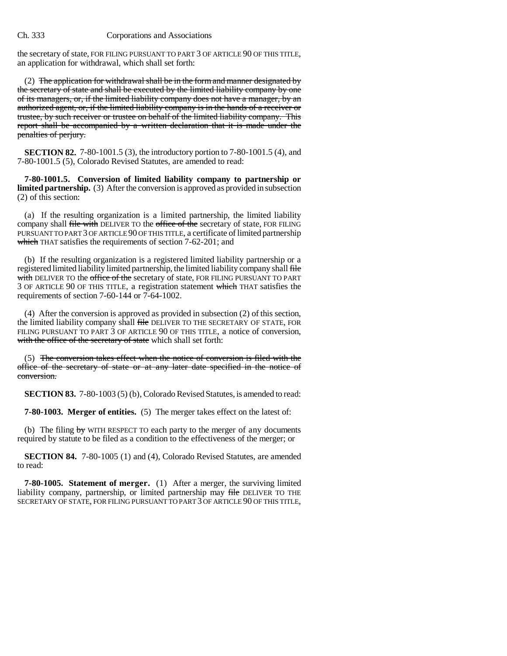the secretary of state, FOR FILING PURSUANT TO PART 3 OF ARTICLE 90 OF THIS TITLE, an application for withdrawal, which shall set forth:

(2) The application for withdrawal shall be in the form and manner designated by the secretary of state and shall be executed by the limited liability company by one of its managers, or, if the limited liability company does not have a manager, by an authorized agent, or, if the limited liability company is in the hands of a receiver or trustee, by such receiver or trustee on behalf of the limited liability company. This report shall be accompanied by a written declaration that it is made under the penalties of perjury.

**SECTION 82.** 7-80-1001.5 (3), the introductory portion to 7-80-1001.5 (4), and 7-80-1001.5 (5), Colorado Revised Statutes, are amended to read:

**7-80-1001.5. Conversion of limited liability company to partnership or limited partnership.** (3) After the conversion is approved as provided in subsection (2) of this section:

(a) If the resulting organization is a limited partnership, the limited liability company shall file with DELIVER TO the office of the secretary of state, FOR FILING PURSUANT TO PART 3 OF ARTICLE 90 OF THIS TITLE, a certificate of limited partnership which THAT satisfies the requirements of section 7-62-201; and

(b) If the resulting organization is a registered limited liability partnership or a registered limited liability limited partnership, the limited liability company shall file with DELIVER TO the office of the secretary of state, FOR FILING PURSUANT TO PART 3 OF ARTICLE 90 OF THIS TITLE, a registration statement which THAT satisfies the requirements of section 7-60-144 or 7-64-1002.

(4) After the conversion is approved as provided in subsection (2) of this section, the limited liability company shall file DELIVER TO THE SECRETARY OF STATE, FOR FILING PURSUANT TO PART 3 OF ARTICLE 90 OF THIS TITLE, a notice of conversion, with the office of the secretary of state which shall set forth:

(5) The conversion takes effect when the notice of conversion is filed with the office of the secretary of state or at any later date specified in the notice of conversion.

**SECTION 83.** 7-80-1003 (5) (b), Colorado Revised Statutes, is amended to read:

**7-80-1003. Merger of entities.** (5) The merger takes effect on the latest of:

(b) The filing  $by$  WITH RESPECT TO each party to the merger of any documents required by statute to be filed as a condition to the effectiveness of the merger; or

**SECTION 84.** 7-80-1005 (1) and (4), Colorado Revised Statutes, are amended to read:

**7-80-1005. Statement of merger.** (1) After a merger, the surviving limited liability company, partnership, or limited partnership may file DELIVER TO THE SECRETARY OF STATE, FOR FILING PURSUANT TO PART 3 OF ARTICLE 90 OF THIS TITLE,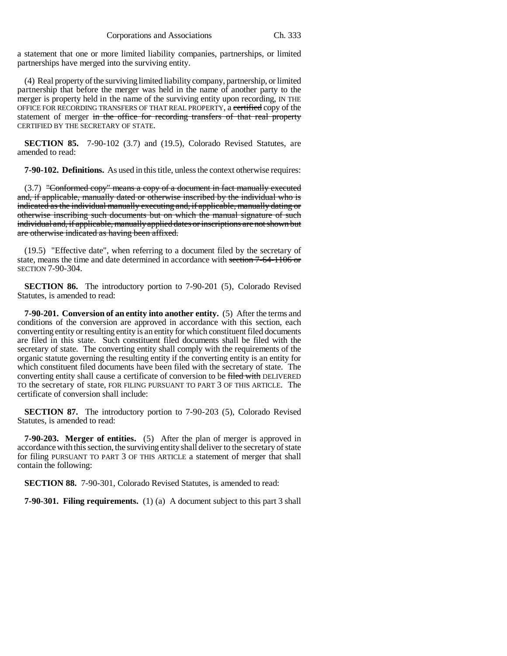a statement that one or more limited liability companies, partnerships, or limited partnerships have merged into the surviving entity.

(4) Real property of the surviving limited liability company, partnership, or limited partnership that before the merger was held in the name of another party to the merger is property held in the name of the surviving entity upon recording, IN THE OFFICE FOR RECORDING TRANSFERS OF THAT REAL PROPERTY, a certified copy of the statement of merger in the office for recording transfers of that real property CERTIFIED BY THE SECRETARY OF STATE.

**SECTION 85.** 7-90-102 (3.7) and (19.5), Colorado Revised Statutes, are amended to read:

**7-90-102. Definitions.** As used in this title, unless the context otherwise requires:

(3.7) "Conformed copy" means a copy of a document in fact manually executed and, if applicable, manually dated or otherwise inscribed by the individual who is indicated as the individual manually executing and, if applicable, manually dating or otherwise inscribing such documents but on which the manual signature of such individual and, if applicable, manually applied dates or inscriptions are not shown but are otherwise indicated as having been affixed.

(19.5) "Effective date", when referring to a document filed by the secretary of state, means the time and date determined in accordance with section 7-64-1106 or SECTION 7-90-304.

**SECTION 86.** The introductory portion to 7-90-201 (5), Colorado Revised Statutes, is amended to read:

**7-90-201. Conversion of an entity into another entity.** (5) After the terms and conditions of the conversion are approved in accordance with this section, each converting entity or resulting entity is an entity for which constituent filed documents are filed in this state. Such constituent filed documents shall be filed with the secretary of state. The converting entity shall comply with the requirements of the organic statute governing the resulting entity if the converting entity is an entity for which constituent filed documents have been filed with the secretary of state. The converting entity shall cause a certificate of conversion to be filed with DELIVERED TO the secretary of state, FOR FILING PURSUANT TO PART 3 OF THIS ARTICLE. The certificate of conversion shall include:

**SECTION 87.** The introductory portion to 7-90-203 (5), Colorado Revised Statutes, is amended to read:

**7-90-203. Merger of entities.** (5) After the plan of merger is approved in accordance with this section, the surviving entity shall deliver to the secretary of state for filing PURSUANT TO PART 3 OF THIS ARTICLE a statement of merger that shall contain the following:

**SECTION 88.** 7-90-301, Colorado Revised Statutes, is amended to read:

**7-90-301. Filing requirements.** (1) (a) A document subject to this part 3 shall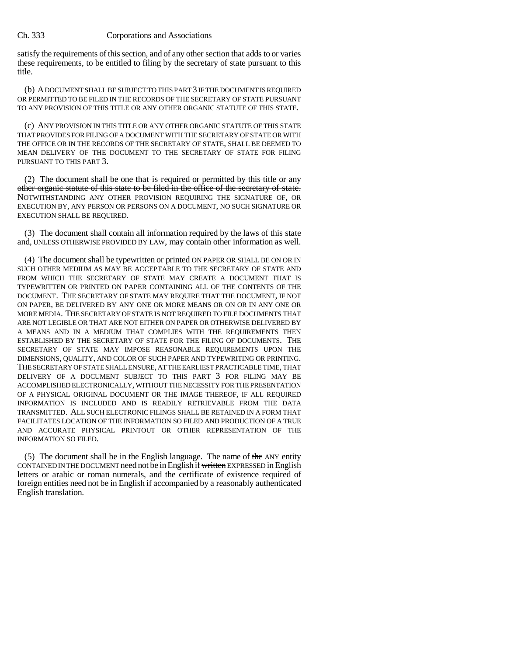satisfy the requirements of this section, and of any other section that adds to or varies these requirements, to be entitled to filing by the secretary of state pursuant to this title.

(b) A DOCUMENT SHALL BE SUBJECT TO THIS PART 3 IF THE DOCUMENT IS REQUIRED OR PERMITTED TO BE FILED IN THE RECORDS OF THE SECRETARY OF STATE PURSUANT TO ANY PROVISION OF THIS TITLE OR ANY OTHER ORGANIC STATUTE OF THIS STATE.

(c) ANY PROVISION IN THIS TITLE OR ANY OTHER ORGANIC STATUTE OF THIS STATE THAT PROVIDES FOR FILING OF A DOCUMENT WITH THE SECRETARY OF STATE OR WITH THE OFFICE OR IN THE RECORDS OF THE SECRETARY OF STATE, SHALL BE DEEMED TO MEAN DELIVERY OF THE DOCUMENT TO THE SECRETARY OF STATE FOR FILING PURSUANT TO THIS PART 3.

(2) The document shall be one that is required or permitted by this title or any other organic statute of this state to be filed in the office of the secretary of state. NOTWITHSTANDING ANY OTHER PROVISION REQUIRING THE SIGNATURE OF, OR EXECUTION BY, ANY PERSON OR PERSONS ON A DOCUMENT, NO SUCH SIGNATURE OR EXECUTION SHALL BE REQUIRED.

(3) The document shall contain all information required by the laws of this state and, UNLESS OTHERWISE PROVIDED BY LAW, may contain other information as well.

(4) The document shall be typewritten or printed ON PAPER OR SHALL BE ON OR IN SUCH OTHER MEDIUM AS MAY BE ACCEPTABLE TO THE SECRETARY OF STATE AND FROM WHICH THE SECRETARY OF STATE MAY CREATE A DOCUMENT THAT IS TYPEWRITTEN OR PRINTED ON PAPER CONTAINING ALL OF THE CONTENTS OF THE DOCUMENT. THE SECRETARY OF STATE MAY REQUIRE THAT THE DOCUMENT, IF NOT ON PAPER, BE DELIVERED BY ANY ONE OR MORE MEANS OR ON OR IN ANY ONE OR MORE MEDIA. THE SECRETARY OF STATE IS NOT REQUIRED TO FILE DOCUMENTS THAT ARE NOT LEGIBLE OR THAT ARE NOT EITHER ON PAPER OR OTHERWISE DELIVERED BY A MEANS AND IN A MEDIUM THAT COMPLIES WITH THE REQUIREMENTS THEN ESTABLISHED BY THE SECRETARY OF STATE FOR THE FILING OF DOCUMENTS. THE SECRETARY OF STATE MAY IMPOSE REASONABLE REQUIREMENTS UPON THE DIMENSIONS, QUALITY, AND COLOR OF SUCH PAPER AND TYPEWRITING OR PRINTING. THE SECRETARY OF STATE SHALL ENSURE, AT THE EARLIEST PRACTICABLE TIME, THAT DELIVERY OF A DOCUMENT SUBJECT TO THIS PART 3 FOR FILING MAY BE ACCOMPLISHED ELECTRONICALLY, WITHOUT THE NECESSITY FOR THE PRESENTATION OF A PHYSICAL ORIGINAL DOCUMENT OR THE IMAGE THEREOF, IF ALL REQUIRED INFORMATION IS INCLUDED AND IS READILY RETRIEVABLE FROM THE DATA TRANSMITTED. ALL SUCH ELECTRONIC FILINGS SHALL BE RETAINED IN A FORM THAT FACILITATES LOCATION OF THE INFORMATION SO FILED AND PRODUCTION OF A TRUE AND ACCURATE PHYSICAL PRINTOUT OR OTHER REPRESENTATION OF THE INFORMATION SO FILED.

(5) The document shall be in the English language. The name of the ANY entity CONTAINED IN THE DOCUMENT need not be in English if written EXPRESSED in English letters or arabic or roman numerals, and the certificate of existence required of foreign entities need not be in English if accompanied by a reasonably authenticated English translation.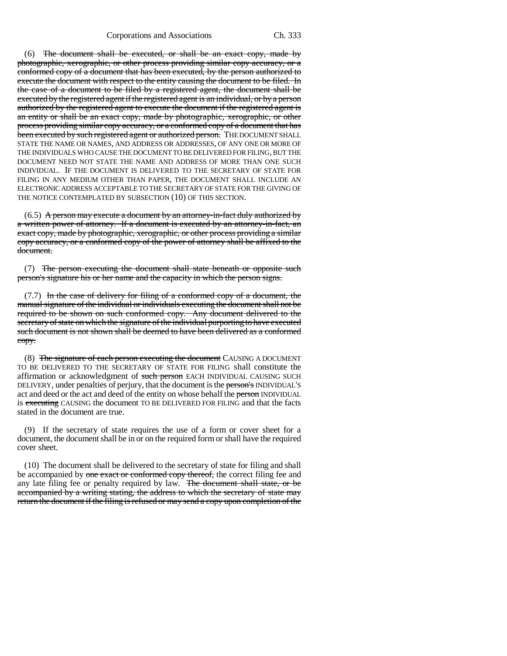(6) The document shall be executed, or shall be an exact copy, made by photographic, xerographic, or other process providing similar copy accuracy, or a conformed copy of a document that has been executed, by the person authorized to execute the document with respect to the entity causing the document to be filed. In the case of a document to be filed by a registered agent, the document shall be executed by the registered agent if the registered agent is an individual, or by a person authorized by the registered agent to execute the document if the registered agent is an entity or shall be an exact copy, made by photographic, xerographic, or other process providing similar copy accuracy, or a conformed copy of a document that has been executed by such registered agent or authorized person. THE DOCUMENT SHALL STATE THE NAME OR NAMES, AND ADDRESS OR ADDRESSES, OF ANY ONE OR MORE OF THE INDIVIDUALS WHO CAUSE THE DOCUMENT TO BE DELIVERED FOR FILING, BUT THE DOCUMENT NEED NOT STATE THE NAME AND ADDRESS OF MORE THAN ONE SUCH INDIVIDUAL. IF THE DOCUMENT IS DELIVERED TO THE SECRETARY OF STATE FOR FILING IN ANY MEDIUM OTHER THAN PAPER, THE DOCUMENT SHALL INCLUDE AN ELECTRONIC ADDRESS ACCEPTABLE TO THE SECRETARY OF STATE FOR THE GIVING OF THE NOTICE CONTEMPLATED BY SUBSECTION (10) OF THIS SECTION.

 $(6.5)$  A person may execute a document by an attorney-in-fact duly authorized by a written power of attorney. If a document is executed by an attorney-in-fact, an exact copy, made by photographic, xerographic, or other process providing a similar copy accuracy, or a conformed copy of the power of attorney shall be affixed to the document.

(7) The person executing the document shall state beneath or opposite such person's signature his or her name and the capacity in which the person signs.

(7.7) In the case of delivery for filing of a conformed copy of a document, the manual signature of the individual or individuals executing the document shall not be required to be shown on such conformed copy. Any document delivered to the secretary of state on which the signature of the individual purporting to have executed such document is not shown shall be deemed to have been delivered as a conformed copy.

(8) The signature of each person executing the document CAUSING A DOCUMENT TO BE DELIVERED TO THE SECRETARY OF STATE FOR FILING shall constitute the affirmation or acknowledgment of such person EACH INDIVIDUAL CAUSING SUCH DELIVERY, under penalties of perjury, that the document is the person's INDIVIDUAL'S act and deed or the act and deed of the entity on whose behalf the person INDIVIDUAL is executing CAUSING the document TO BE DELIVERED FOR FILING and that the facts stated in the document are true.

(9) If the secretary of state requires the use of a form or cover sheet for a document, the document shall be in or on the required form or shall have the required cover sheet.

(10) The document shall be delivered to the secretary of state for filing and shall be accompanied by one exact or conformed copy thereof, the correct filing fee and any late filing fee or penalty required by law. The document shall state, or be accompanied by a writing stating, the address to which the secretary of state may return the document if the filing is refused or may send a copy upon completion of the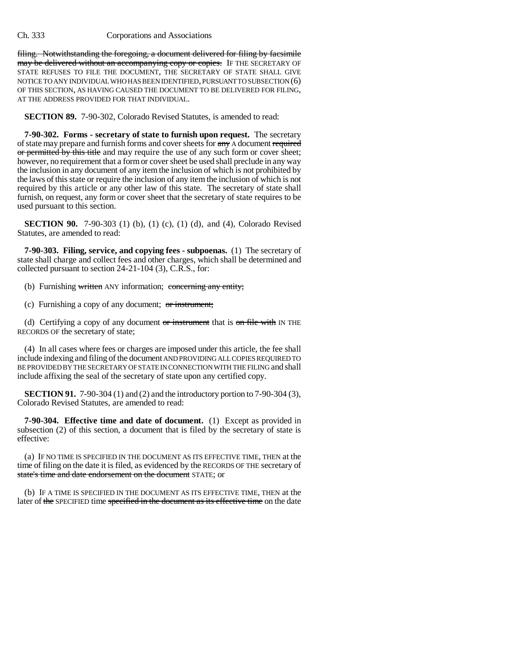filing. Notwithstanding the foregoing, a document delivered for filing by facsimile may be delivered without an accompanying copy or copies. IF THE SECRETARY OF STATE REFUSES TO FILE THE DOCUMENT, THE SECRETARY OF STATE SHALL GIVE NOTICE TO ANY INDIVIDUAL WHO HAS BEEN IDENTIFIED, PURSUANT TO SUBSECTION (6) OF THIS SECTION, AS HAVING CAUSED THE DOCUMENT TO BE DELIVERED FOR FILING, AT THE ADDRESS PROVIDED FOR THAT INDIVIDUAL.

**SECTION 89.** 7-90-302, Colorado Revised Statutes, is amended to read:

**7-90-302. Forms - secretary of state to furnish upon request.** The secretary of state may prepare and furnish forms and cover sheets for any A document required or permitted by this title and may require the use of any such form or cover sheet; however, no requirement that a form or cover sheet be used shall preclude in any way the inclusion in any document of any item the inclusion of which is not prohibited by the laws of this state or require the inclusion of any item the inclusion of which is not required by this article or any other law of this state. The secretary of state shall furnish, on request, any form or cover sheet that the secretary of state requires to be used pursuant to this section.

**SECTION 90.** 7-90-303 (1) (b), (1) (c), (1) (d), and (4), Colorado Revised Statutes, are amended to read:

**7-90-303. Filing, service, and copying fees - subpoenas.** (1) The secretary of state shall charge and collect fees and other charges, which shall be determined and collected pursuant to section 24-21-104 (3), C.R.S., for:

(b) Furnishing written ANY information; concerning any entity;

(c) Furnishing a copy of any document; or instrument;

(d) Certifying a copy of any document  $or$  instrument that is  $on$  file with IN THE RECORDS OF the secretary of state;

(4) In all cases where fees or charges are imposed under this article, the fee shall include indexing and filing of the document AND PROVIDING ALL COPIES REQUIRED TO BE PROVIDED BY THE SECRETARY OF STATE IN CONNECTION WITH THE FILING and shall include affixing the seal of the secretary of state upon any certified copy.

**SECTION 91.** 7-90-304 (1) and (2) and the introductory portion to 7-90-304 (3), Colorado Revised Statutes, are amended to read:

**7-90-304. Effective time and date of document.** (1) Except as provided in subsection (2) of this section, a document that is filed by the secretary of state is effective:

(a) IF NO TIME IS SPECIFIED IN THE DOCUMENT AS ITS EFFECTIVE TIME, THEN at the time of filing on the date it is filed, as evidenced by the RECORDS OF THE secretary of state's time and date endorsement on the document STATE; or

(b) IF A TIME IS SPECIFIED IN THE DOCUMENT AS ITS EFFECTIVE TIME, THEN at the later of the SPECIFIED time specified in the document as its effective time on the date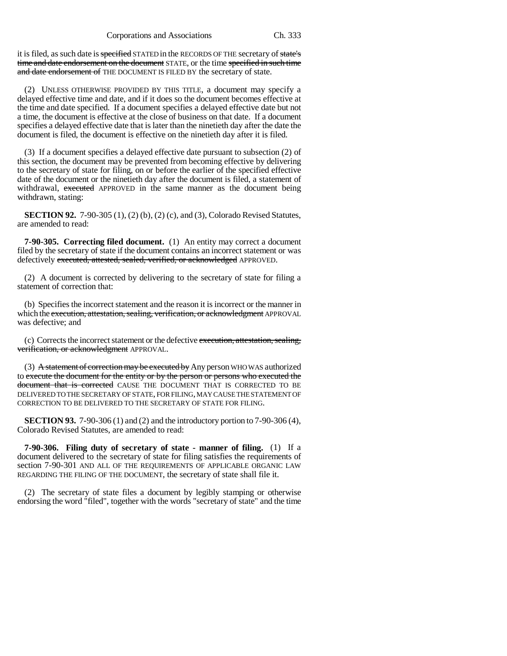it is filed, as such date is specified STATED in the RECORDS OF THE secretary of state's time and date endorsement on the document STATE, or the time specified in such time and date endorsement of THE DOCUMENT IS FILED BY the secretary of state.

(2) UNLESS OTHERWISE PROVIDED BY THIS TITLE, a document may specify a delayed effective time and date, and if it does so the document becomes effective at the time and date specified. If a document specifies a delayed effective date but not a time, the document is effective at the close of business on that date. If a document specifies a delayed effective date that is later than the ninetieth day after the date the document is filed, the document is effective on the ninetieth day after it is filed.

(3) If a document specifies a delayed effective date pursuant to subsection (2) of this section, the document may be prevented from becoming effective by delivering to the secretary of state for filing, on or before the earlier of the specified effective date of the document or the ninetieth day after the document is filed, a statement of withdrawal, executed APPROVED in the same manner as the document being withdrawn, stating:

**SECTION 92.** 7-90-305 (1), (2) (b), (2) (c), and (3), Colorado Revised Statutes, are amended to read:

**7-90-305. Correcting filed document.** (1) An entity may correct a document filed by the secretary of state if the document contains an incorrect statement or was defectively executed, attested, sealed, verified, or acknowledged APPROVED.

(2) A document is corrected by delivering to the secretary of state for filing a statement of correction that:

(b) Specifies the incorrect statement and the reason it is incorrect or the manner in which the execution, attestation, sealing, verification, or acknowledgment APPROVAL was defective; and

(c) Corrects the incorrect statement or the defective execution, attestation, sealing, verification, or acknowledgment APPROVAL.

(3)  $\overline{A}$  statement of correction may be executed by Any person WHO WAS authorized to execute the document for the entity or by the person or persons who executed the document that is corrected CAUSE THE DOCUMENT THAT IS CORRECTED TO BE DELIVERED TO THE SECRETARY OF STATE, FOR FILING, MAY CAUSE THE STATEMENT OF CORRECTION TO BE DELIVERED TO THE SECRETARY OF STATE FOR FILING.

**SECTION 93.** 7-90-306 (1) and (2) and the introductory portion to 7-90-306 (4), Colorado Revised Statutes, are amended to read:

**7-90-306. Filing duty of secretary of state - manner of filing.** (1) If a document delivered to the secretary of state for filing satisfies the requirements of section 7-90-301 AND ALL OF THE REQUIREMENTS OF APPLICABLE ORGANIC LAW REGARDING THE FILING OF THE DOCUMENT, the secretary of state shall file it.

(2) The secretary of state files a document by legibly stamping or otherwise endorsing the word "filed", together with the words "secretary of state" and the time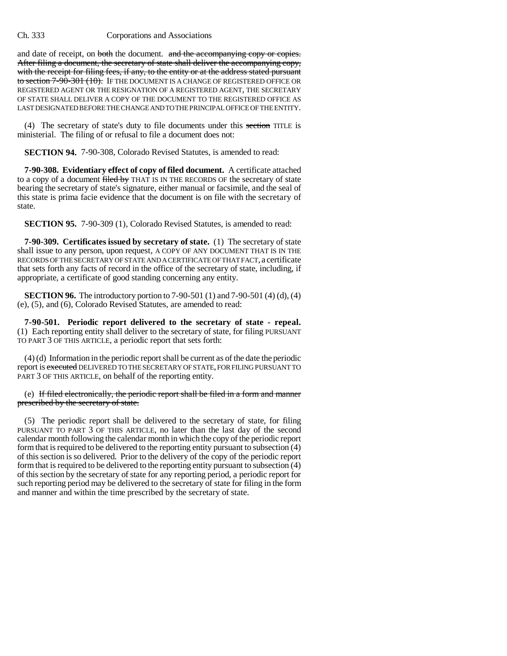and date of receipt, on both the document. and the accompanying copy or copies. After filing a document, the secretary of state shall deliver the accompanying copy, with the receipt for filing fees, if any, to the entity or at the address stated pursuant to section 7-90-301 (10). IF THE DOCUMENT IS A CHANGE OF REGISTERED OFFICE OR REGISTERED AGENT OR THE RESIGNATION OF A REGISTERED AGENT, THE SECRETARY OF STATE SHALL DELIVER A COPY OF THE DOCUMENT TO THE REGISTERED OFFICE AS LAST DESIGNATED BEFORE THE CHANGE AND TO THE PRINCIPAL OFFICE OF THE ENTITY.

(4) The secretary of state's duty to file documents under this section TITLE is ministerial. The filing of or refusal to file a document does not:

**SECTION 94.** 7-90-308, Colorado Revised Statutes, is amended to read:

**7-90-308. Evidentiary effect of copy of filed document.** A certificate attached to a copy of a document filed by THAT IS IN THE RECORDS OF the secretary of state bearing the secretary of state's signature, either manual or facsimile, and the seal of this state is prima facie evidence that the document is on file with the secretary of state.

**SECTION 95.** 7-90-309 (1), Colorado Revised Statutes, is amended to read:

**7-90-309. Certificates issued by secretary of state.** (1) The secretary of state shall issue to any person, upon request, A COPY OF ANY DOCUMENT THAT IS IN THE RECORDS OF THE SECRETARY OF STATE AND A CERTIFICATE OF THAT FACT, a certificate that sets forth any facts of record in the office of the secretary of state, including, if appropriate, a certificate of good standing concerning any entity.

**SECTION 96.** The introductory portion to 7-90-501 (1) and 7-90-501 (4) (d), (4) (e), (5), and (6), Colorado Revised Statutes, are amended to read:

**7-90-501. Periodic report delivered to the secretary of state - repeal.** (1) Each reporting entity shall deliver to the secretary of state, for filing PURSUANT TO PART 3 OF THIS ARTICLE, a periodic report that sets forth:

(4) (d) Information in the periodic report shall be current as of the date the periodic report is executed DELIVERED TO THE SECRETARY OF STATE, FOR FILING PURSUANT TO PART 3 OF THIS ARTICLE, on behalf of the reporting entity.

(e) If filed electronically, the periodic report shall be filed in a form and manner prescribed by the secretary of state.

(5) The periodic report shall be delivered to the secretary of state, for filing PURSUANT TO PART 3 OF THIS ARTICLE, no later than the last day of the second calendar month following the calendar month in which the copy of the periodic report form that is required to be delivered to the reporting entity pursuant to subsection (4) of this section is so delivered. Prior to the delivery of the copy of the periodic report form that is required to be delivered to the reporting entity pursuant to subsection (4) of this section by the secretary of state for any reporting period, a periodic report for such reporting period may be delivered to the secretary of state for filing in the form and manner and within the time prescribed by the secretary of state.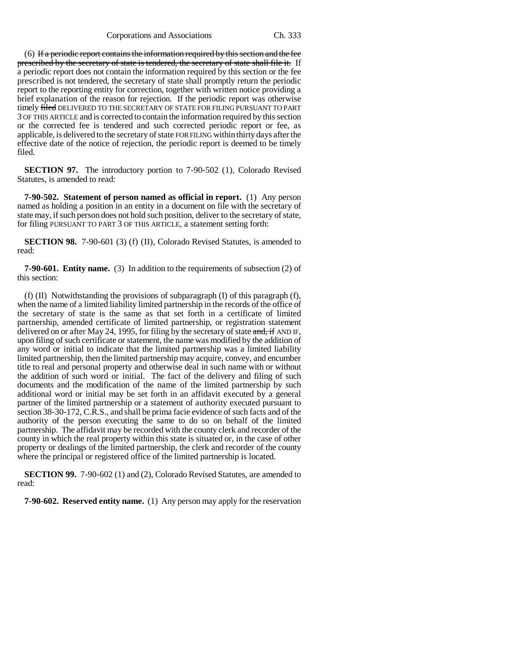$(6)$  If a periodic report contains the information required by this section and the fee prescribed by the secretary of state is tendered, the secretary of state shall file it. If a periodic report does not contain the information required by this section or the fee prescribed is not tendered, the secretary of state shall promptly return the periodic report to the reporting entity for correction, together with written notice providing a brief explanation of the reason for rejection. If the periodic report was otherwise timely filed DELIVERED TO THE SECRETARY OF STATE FOR FILING PURSUANT TO PART 3 OF THIS ARTICLE and is corrected to contain the information required by this section or the corrected fee is tendered and such corrected periodic report or fee, as applicable, is delivered to the secretary of state FOR FILING within thirty days after the effective date of the notice of rejection, the periodic report is deemed to be timely filed.

**SECTION 97.** The introductory portion to 7-90-502 (1), Colorado Revised Statutes, is amended to read:

**7-90-502. Statement of person named as official in report.** (1) Any person named as holding a position in an entity in a document on file with the secretary of state may, if such person does not hold such position, deliver to the secretary of state, for filing PURSUANT TO PART 3 OF THIS ARTICLE, a statement setting forth:

**SECTION 98.** 7-90-601 (3) (f) (II), Colorado Revised Statutes, is amended to read:

**7-90-601. Entity name.** (3) In addition to the requirements of subsection (2) of this section:

(f) (II) Notwithstanding the provisions of subparagraph (I) of this paragraph (f), when the name of a limited liability limited partnership in the records of the office of the secretary of state is the same as that set forth in a certificate of limited partnership, amended certificate of limited partnership, or registration statement delivered on or after May 24, 1995, for filing by the secretary of state  $\frac{1}{\text{and}}$ , if AND IF, upon filing of such certificate or statement, the name was modified by the addition of any word or initial to indicate that the limited partnership was a limited liability limited partnership, then the limited partnership may acquire, convey, and encumber title to real and personal property and otherwise deal in such name with or without the addition of such word or initial. The fact of the delivery and filing of such documents and the modification of the name of the limited partnership by such additional word or initial may be set forth in an affidavit executed by a general partner of the limited partnership or a statement of authority executed pursuant to section 38-30-172, C.R.S., and shall be prima facie evidence of such facts and of the authority of the person executing the same to do so on behalf of the limited partnership. The affidavit may be recorded with the county clerk and recorder of the county in which the real property within this state is situated or, in the case of other property or dealings of the limited partnership, the clerk and recorder of the county where the principal or registered office of the limited partnership is located.

**SECTION 99.** 7-90-602 (1) and (2), Colorado Revised Statutes, are amended to read:

**7-90-602. Reserved entity name.** (1) Any person may apply for the reservation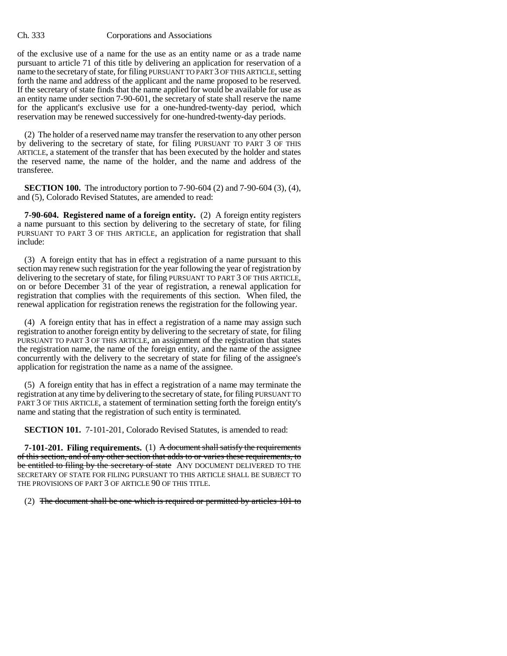of the exclusive use of a name for the use as an entity name or as a trade name pursuant to article 71 of this title by delivering an application for reservation of a name to the secretary of state, for filing PURSUANT TO PART 3 OF THIS ARTICLE, setting forth the name and address of the applicant and the name proposed to be reserved. If the secretary of state finds that the name applied for would be available for use as an entity name under section 7-90-601, the secretary of state shall reserve the name for the applicant's exclusive use for a one-hundred-twenty-day period, which reservation may be renewed successively for one-hundred-twenty-day periods.

(2) The holder of a reserved name may transfer the reservation to any other person by delivering to the secretary of state, for filing PURSUANT TO PART 3 OF THIS ARTICLE, a statement of the transfer that has been executed by the holder and states the reserved name, the name of the holder, and the name and address of the transferee.

**SECTION 100.** The introductory portion to 7-90-604 (2) and 7-90-604 (3), (4), and (5), Colorado Revised Statutes, are amended to read:

**7-90-604. Registered name of a foreign entity.** (2) A foreign entity registers a name pursuant to this section by delivering to the secretary of state, for filing PURSUANT TO PART 3 OF THIS ARTICLE, an application for registration that shall include:

(3) A foreign entity that has in effect a registration of a name pursuant to this section may renew such registration for the year following the year of registration by delivering to the secretary of state, for filing PURSUANT TO PART 3 OF THIS ARTICLE, on or before December 31 of the year of registration, a renewal application for registration that complies with the requirements of this section. When filed, the renewal application for registration renews the registration for the following year.

(4) A foreign entity that has in effect a registration of a name may assign such registration to another foreign entity by delivering to the secretary of state, for filing PURSUANT TO PART 3 OF THIS ARTICLE, an assignment of the registration that states the registration name, the name of the foreign entity, and the name of the assignee concurrently with the delivery to the secretary of state for filing of the assignee's application for registration the name as a name of the assignee.

(5) A foreign entity that has in effect a registration of a name may terminate the registration at any time by delivering to the secretary of state, for filing PURSUANT TO PART 3 OF THIS ARTICLE, a statement of termination setting forth the foreign entity's name and stating that the registration of such entity is terminated.

**SECTION 101.** 7-101-201, Colorado Revised Statutes, is amended to read:

**7-101-201. Filing requirements.** (1) A document shall satisfy the requirements of this section, and of any other section that adds to or varies these requirements, to be entitled to filing by the secretary of state ANY DOCUMENT DELIVERED TO THE SECRETARY OF STATE FOR FILING PURSUANT TO THIS ARTICLE SHALL BE SUBJECT TO THE PROVISIONS OF PART 3 OF ARTICLE 90 OF THIS TITLE.

(2) The document shall be one which is required or permitted by articles 101 to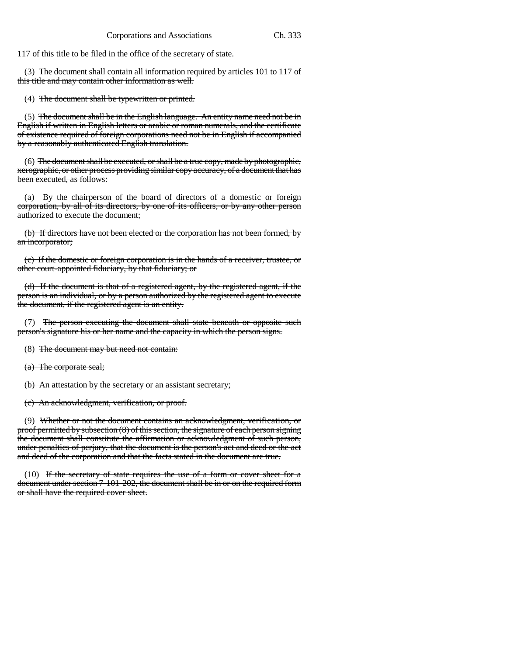117 of this title to be filed in the office of the secretary of state.

(3) The document shall contain all information required by articles 101 to 117 of this title and may contain other information as well.

(4) The document shall be typewritten or printed.

(5) The document shall be in the English language. An entity name need not be in English if written in English letters or arabic or roman numerals, and the certificate of existence required of foreign corporations need not be in English if accompanied by a reasonably authenticated English translation.

 $(6)$  The document shall be executed, or shall be a true copy, made by photographic, xerographic, or other process providing similar copy accuracy, of a document that has been executed, as follows:

(a) By the chairperson of the board of directors of a domestic or foreign corporation, by all of its directors, by one of its officers, or by any other person authorized to execute the document;

(b) If directors have not been elected or the corporation has not been formed, by an incorporator;

(c) If the domestic or foreign corporation is in the hands of a receiver, trustee, or other court-appointed fiduciary, by that fiduciary; or

(d) If the document is that of a registered agent, by the registered agent, if the person is an individual, or by a person authorized by the registered agent to execute the document, if the registered agent is an entity.

(7) The person executing the document shall state beneath or opposite such person's signature his or her name and the capacity in which the person signs.

(8) The document may but need not contain:

(a) The corporate seal;

(b) An attestation by the secretary or an assistant secretary;

(c) An acknowledgment, verification, or proof.

(9) Whether or not the document contains an acknowledgment, verification, or proof permitted by subsection (8) of this section, the signature of each person signing the document shall constitute the affirmation or acknowledgment of such person, under penalties of perjury, that the document is the person's act and deed or the act and deed of the corporation and that the facts stated in the document are true.

 $(10)$  If the secretary of state requires the use of a form or cover sheet for a document under section 7-101-202, the document shall be in or on the required form or shall have the required cover sheet.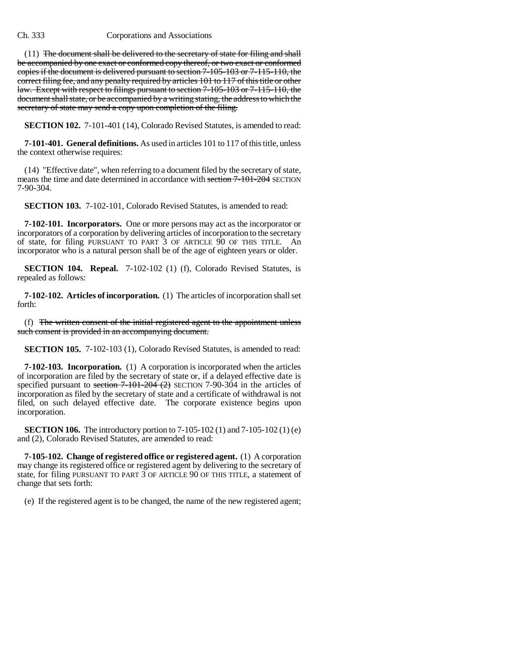$(11)$  The document shall be delivered to the secretary of state for filing and shall be accompanied by one exact or conformed copy thereof, or two exact or conformed copies if the document is delivered pursuant to section 7-105-103 or 7-115-110, the correct filing fee, and any penalty required by articles 101 to 117 of this title or other law. Except with respect to filings pursuant to section 7-105-103 or 7-115-110, the document shall state, or be accompanied by a writing stating, the address to which the secretary of state may send a copy upon completion of the filing.

**SECTION 102.** 7-101-401 (14), Colorado Revised Statutes, is amended to read:

**7-101-401. General definitions.** As used in articles 101 to 117 of this title, unless the context otherwise requires:

(14) "Effective date", when referring to a document filed by the secretary of state, means the time and date determined in accordance with section 7-101-204 SECTION 7-90-304.

**SECTION 103.** 7-102-101, Colorado Revised Statutes, is amended to read:

**7-102-101. Incorporators.** One or more persons may act as the incorporator or incorporators of a corporation by delivering articles of incorporation to the secretary of state, for filing PURSUANT TO PART 3 OF ARTICLE 90 OF THIS TITLE. An incorporator who is a natural person shall be of the age of eighteen years or older.

**SECTION 104. Repeal.** 7-102-102 (1) (f), Colorado Revised Statutes, is repealed as follows:

**7-102-102. Articles of incorporation.** (1) The articles of incorporation shall set forth:

(f) The written consent of the initial registered agent to the appointment unless such consent is provided in an accompanying document.

**SECTION 105.** 7-102-103 (1), Colorado Revised Statutes, is amended to read:

**7-102-103. Incorporation.** (1) A corporation is incorporated when the articles of incorporation are filed by the secretary of state or, if a delayed effective date is specified pursuant to section  $7-101-204$  (2) SECTION 7-90-304 in the articles of incorporation as filed by the secretary of state and a certificate of withdrawal is not filed, on such delayed effective date. The corporate existence begins upon incorporation.

**SECTION 106.** The introductory portion to 7-105-102 (1) and 7-105-102 (1) (e) and (2), Colorado Revised Statutes, are amended to read:

**7-105-102. Change of registered office or registered agent.** (1) A corporation may change its registered office or registered agent by delivering to the secretary of state, for filing PURSUANT TO PART 3 OF ARTICLE 90 OF THIS TITLE, a statement of change that sets forth:

(e) If the registered agent is to be changed, the name of the new registered agent;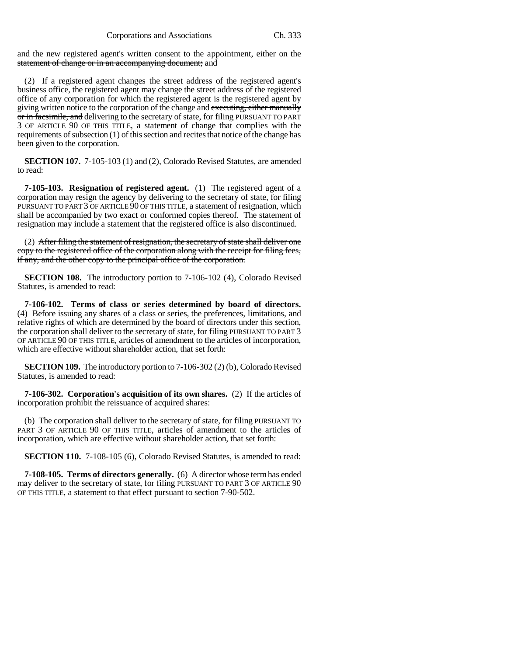and the new registered agent's written consent to the appointment, either on the statement of change or in an accompanying document; and

(2) If a registered agent changes the street address of the registered agent's business office, the registered agent may change the street address of the registered office of any corporation for which the registered agent is the registered agent by giving written notice to the corporation of the change and executing, either manually or in facsimile, and delivering to the secretary of state, for filing PURSUANT TO PART 3 OF ARTICLE 90 OF THIS TITLE, a statement of change that complies with the requirements of subsection (1) of this section and recites that notice of the change has been given to the corporation.

**SECTION 107.** 7-105-103 (1) and (2), Colorado Revised Statutes, are amended to read:

**7-105-103. Resignation of registered agent.** (1) The registered agent of a corporation may resign the agency by delivering to the secretary of state, for filing PURSUANT TO PART 3 OF ARTICLE 90 OF THIS TITLE, a statement of resignation, which shall be accompanied by two exact or conformed copies thereof. The statement of resignation may include a statement that the registered office is also discontinued.

(2) After filing the statement of resignation, the secretary of state shall deliver one copy to the registered office of the corporation along with the receipt for filing fees, if any, and the other copy to the principal office of the corporation.

**SECTION 108.** The introductory portion to 7-106-102 (4), Colorado Revised Statutes, is amended to read:

**7-106-102. Terms of class or series determined by board of directors.** (4) Before issuing any shares of a class or series, the preferences, limitations, and relative rights of which are determined by the board of directors under this section, the corporation shall deliver to the secretary of state, for filing PURSUANT TO PART 3 OF ARTICLE 90 OF THIS TITLE, articles of amendment to the articles of incorporation, which are effective without shareholder action, that set forth:

**SECTION 109.** The introductory portion to 7-106-302 (2) (b), Colorado Revised Statutes, is amended to read:

**7-106-302. Corporation's acquisition of its own shares.** (2) If the articles of incorporation prohibit the reissuance of acquired shares:

(b) The corporation shall deliver to the secretary of state, for filing PURSUANT TO PART 3 OF ARTICLE 90 OF THIS TITLE, articles of amendment to the articles of incorporation, which are effective without shareholder action, that set forth:

**SECTION 110.** 7-108-105 (6), Colorado Revised Statutes, is amended to read:

**7-108-105. Terms of directors generally.** (6) A director whose term has ended may deliver to the secretary of state, for filing PURSUANT TO PART 3 OF ARTICLE 90 OF THIS TITLE, a statement to that effect pursuant to section 7-90-502.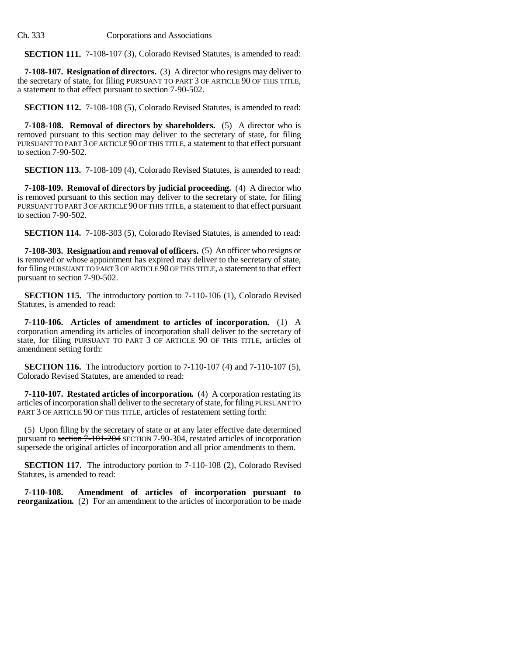**SECTION 111.** 7-108-107 (3), Colorado Revised Statutes, is amended to read:

**7-108-107. Resignation of directors.** (3) A director who resigns may deliver to the secretary of state, for filing PURSUANT TO PART 3 OF ARTICLE 90 OF THIS TITLE, a statement to that effect pursuant to section 7-90-502.

**SECTION 112.** 7-108-108 (5), Colorado Revised Statutes, is amended to read:

**7-108-108. Removal of directors by shareholders.** (5) A director who is removed pursuant to this section may deliver to the secretary of state, for filing PURSUANT TO PART 3 OF ARTICLE 90 OF THIS TITLE, a statement to that effect pursuant to section 7-90-502.

**SECTION 113.** 7-108-109 (4), Colorado Revised Statutes, is amended to read:

**7-108-109. Removal of directors by judicial proceeding.** (4) A director who is removed pursuant to this section may deliver to the secretary of state, for filing PURSUANT TO PART 3 OF ARTICLE 90 OF THIS TITLE, a statement to that effect pursuant to section 7-90-502.

**SECTION 114.** 7-108-303 (5), Colorado Revised Statutes, is amended to read:

**7-108-303. Resignation and removal of officers.** (5) An officer who resigns or is removed or whose appointment has expired may deliver to the secretary of state, for filing PURSUANT TO PART 3 OF ARTICLE 90 OF THIS TITLE, a statement to that effect pursuant to section 7-90-502.

**SECTION 115.** The introductory portion to 7-110-106 (1), Colorado Revised Statutes, is amended to read:

**7-110-106. Articles of amendment to articles of incorporation.** (1) A corporation amending its articles of incorporation shall deliver to the secretary of state, for filing PURSUANT TO PART 3 OF ARTICLE 90 OF THIS TITLE, articles of amendment setting forth:

**SECTION 116.** The introductory portion to 7-110-107 (4) and 7-110-107 (5), Colorado Revised Statutes, are amended to read:

**7-110-107. Restated articles of incorporation.** (4) A corporation restating its articles of incorporation shall deliver to the secretary of state, for filing PURSUANT TO PART 3 OF ARTICLE 90 OF THIS TITLE, articles of restatement setting forth:

(5) Upon filing by the secretary of state or at any later effective date determined pursuant to section  $7-101-204$  SECTION 7-90-304, restated articles of incorporation supersede the original articles of incorporation and all prior amendments to them.

**SECTION 117.** The introductory portion to 7-110-108 (2), Colorado Revised Statutes, is amended to read:

**7-110-108. Amendment of articles of incorporation pursuant to reorganization.** (2) For an amendment to the articles of incorporation to be made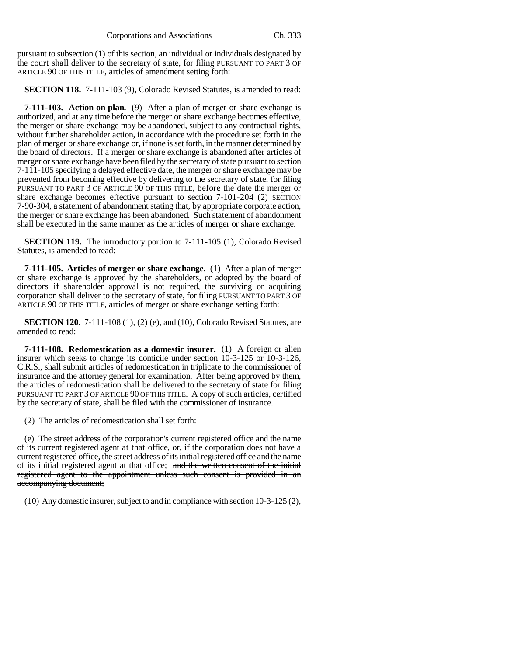pursuant to subsection (1) of this section, an individual or individuals designated by the court shall deliver to the secretary of state, for filing PURSUANT TO PART 3 OF ARTICLE 90 OF THIS TITLE, articles of amendment setting forth:

**SECTION 118.** 7-111-103 (9), Colorado Revised Statutes, is amended to read:

**7-111-103. Action on plan.** (9) After a plan of merger or share exchange is authorized, and at any time before the merger or share exchange becomes effective, the merger or share exchange may be abandoned, subject to any contractual rights, without further shareholder action, in accordance with the procedure set forth in the plan of merger or share exchange or, if none is set forth, in the manner determined by the board of directors. If a merger or share exchange is abandoned after articles of merger or share exchange have been filed by the secretary of state pursuant to section 7-111-105 specifying a delayed effective date, the merger or share exchange may be prevented from becoming effective by delivering to the secretary of state, for filing PURSUANT TO PART 3 OF ARTICLE 90 OF THIS TITLE, before the date the merger or share exchange becomes effective pursuant to section  $7-101-204$  (2) SECTION 7-90-304, a statement of abandonment stating that, by appropriate corporate action, the merger or share exchange has been abandoned. Such statement of abandonment shall be executed in the same manner as the articles of merger or share exchange.

**SECTION 119.** The introductory portion to 7-111-105 (1), Colorado Revised Statutes, is amended to read:

**7-111-105. Articles of merger or share exchange.** (1) After a plan of merger or share exchange is approved by the shareholders, or adopted by the board of directors if shareholder approval is not required, the surviving or acquiring corporation shall deliver to the secretary of state, for filing PURSUANT TO PART 3 OF ARTICLE 90 OF THIS TITLE, articles of merger or share exchange setting forth:

**SECTION 120.** 7-111-108 (1), (2) (e), and (10), Colorado Revised Statutes, are amended to read:

**7-111-108. Redomestication as a domestic insurer.** (1) A foreign or alien insurer which seeks to change its domicile under section 10-3-125 or 10-3-126, C.R.S., shall submit articles of redomestication in triplicate to the commissioner of insurance and the attorney general for examination. After being approved by them, the articles of redomestication shall be delivered to the secretary of state for filing PURSUANT TO PART 3 OF ARTICLE 90 OF THIS TITLE. A copy of such articles, certified by the secretary of state, shall be filed with the commissioner of insurance.

(2) The articles of redomestication shall set forth:

(e) The street address of the corporation's current registered office and the name of its current registered agent at that office, or, if the corporation does not have a current registered office, the street address of its initial registered office and the name of its initial registered agent at that office; and the written consent of the initial registered agent to the appointment unless such consent is provided in an accompanying document;

(10) Any domestic insurer, subject to and in compliance with section 10-3-125 (2),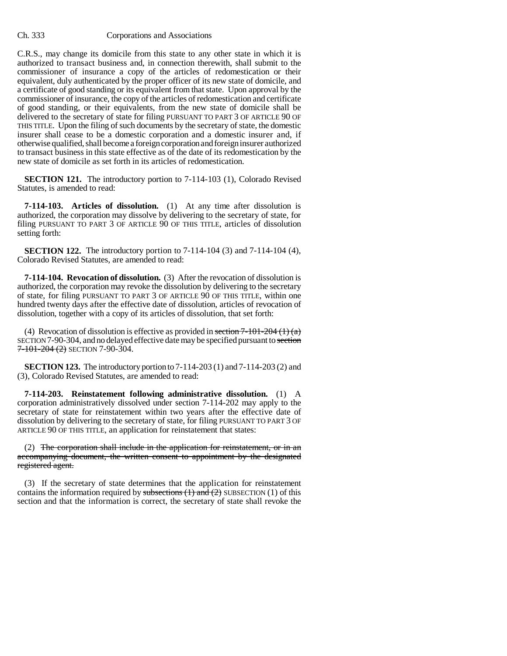C.R.S., may change its domicile from this state to any other state in which it is authorized to transact business and, in connection therewith, shall submit to the commissioner of insurance a copy of the articles of redomestication or their equivalent, duly authenticated by the proper officer of its new state of domicile, and a certificate of good standing or its equivalent from that state. Upon approval by the commissioner of insurance, the copy of the articles of redomestication and certificate of good standing, or their equivalents, from the new state of domicile shall be delivered to the secretary of state for filing PURSUANT TO PART 3 OF ARTICLE 90 OF THIS TITLE. Upon the filing of such documents by the secretary of state, the domestic insurer shall cease to be a domestic corporation and a domestic insurer and, if otherwise qualified, shall become a foreign corporation and foreign insurer authorized to transact business in this state effective as of the date of its redomestication by the new state of domicile as set forth in its articles of redomestication.

**SECTION 121.** The introductory portion to 7-114-103 (1), Colorado Revised Statutes, is amended to read:

**7-114-103. Articles of dissolution.** (1) At any time after dissolution is authorized, the corporation may dissolve by delivering to the secretary of state, for filing PURSUANT TO PART 3 OF ARTICLE 90 OF THIS TITLE, articles of dissolution setting forth:

**SECTION 122.** The introductory portion to 7-114-104 (3) and 7-114-104 (4), Colorado Revised Statutes, are amended to read:

**7-114-104. Revocation of dissolution.** (3) After the revocation of dissolution is authorized, the corporation may revoke the dissolution by delivering to the secretary of state, for filing PURSUANT TO PART 3 OF ARTICLE 90 OF THIS TITLE, within one hundred twenty days after the effective date of dissolution, articles of revocation of dissolution, together with a copy of its articles of dissolution, that set forth:

(4) Revocation of dissolution is effective as provided in section  $7-101-204$  (1) (a) SECTION 7-90-304, and no delayed effective date may be specified pursuant to section  $7 - 101 - 204$  (2) Section 7-90-304.

**SECTION 123.** The introductory portion to 7-114-203 (1) and 7-114-203 (2) and (3), Colorado Revised Statutes, are amended to read:

**7-114-203. Reinstatement following administrative dissolution.** (1) A corporation administratively dissolved under section 7-114-202 may apply to the secretary of state for reinstatement within two years after the effective date of dissolution by delivering to the secretary of state, for filing PURSUANT TO PART 3 OF ARTICLE 90 OF THIS TITLE, an application for reinstatement that states:

(2) The corporation shall include in the application for reinstatement, or in an accompanying document, the written consent to appointment by the designated registered agent.

(3) If the secretary of state determines that the application for reinstatement contains the information required by subsections  $(1)$  and  $(2)$  SUBSECTION  $(1)$  of this section and that the information is correct, the secretary of state shall revoke the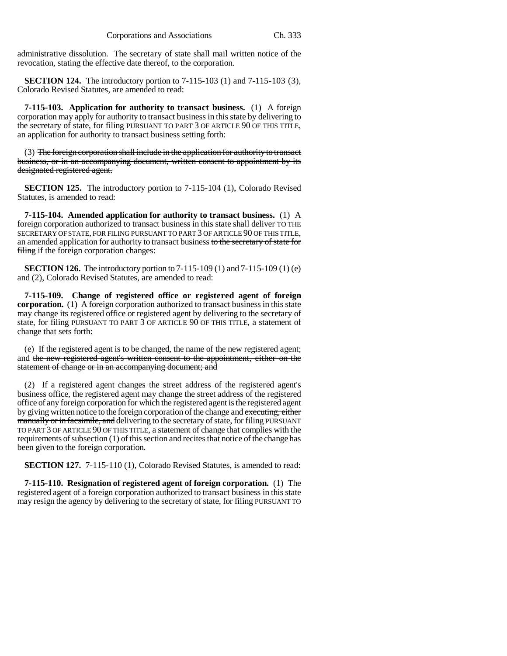administrative dissolution. The secretary of state shall mail written notice of the revocation, stating the effective date thereof, to the corporation.

**SECTION 124.** The introductory portion to 7-115-103 (1) and 7-115-103 (3), Colorado Revised Statutes, are amended to read:

**7-115-103. Application for authority to transact business.** (1) A foreign corporation may apply for authority to transact business in this state by delivering to the secretary of state, for filing PURSUANT TO PART 3 OF ARTICLE 90 OF THIS TITLE, an application for authority to transact business setting forth:

(3) The foreign corporation shall include in the application for authority to transact business, or in an accompanying document, written consent to appointment by its designated registered agent.

**SECTION 125.** The introductory portion to 7-115-104 (1), Colorado Revised Statutes, is amended to read:

**7-115-104. Amended application for authority to transact business.** (1) A foreign corporation authorized to transact business in this state shall deliver TO THE SECRETARY OF STATE, FOR FILING PURSUANT TO PART 3 OF ARTICLE 90 OF THIS TITLE, an amended application for authority to transact business to the secretary of state for filing if the foreign corporation changes:

**SECTION 126.** The introductory portion to 7-115-109 (1) and 7-115-109 (1) (e) and (2), Colorado Revised Statutes, are amended to read:

**7-115-109. Change of registered office or registered agent of foreign corporation.** (1) A foreign corporation authorized to transact business in this state may change its registered office or registered agent by delivering to the secretary of state, for filing PURSUANT TO PART 3 OF ARTICLE 90 OF THIS TITLE, a statement of change that sets forth:

(e) If the registered agent is to be changed, the name of the new registered agent; and the new registered agent's written consent to the appointment, either on the statement of change or in an accompanying document; and

(2) If a registered agent changes the street address of the registered agent's business office, the registered agent may change the street address of the registered office of any foreign corporation for which the registered agent is the registered agent by giving written notice to the foreign corporation of the change and executing, either manually or in facsimile, and delivering to the secretary of state, for filing PURSUANT TO PART 3 OF ARTICLE 90 OF THIS TITLE, a statement of change that complies with the requirements of subsection (1) of this section and recites that notice of the change has been given to the foreign corporation.

**SECTION 127.** 7-115-110 (1), Colorado Revised Statutes, is amended to read:

**7-115-110. Resignation of registered agent of foreign corporation.** (1) The registered agent of a foreign corporation authorized to transact business in this state may resign the agency by delivering to the secretary of state, for filing PURSUANT TO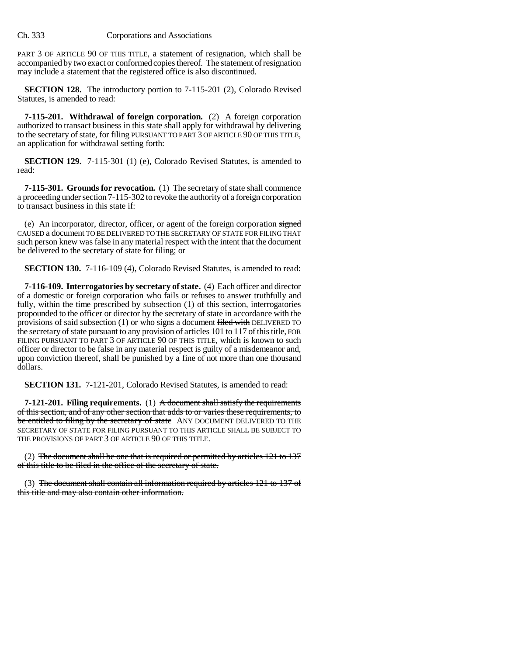PART 3 OF ARTICLE 90 OF THIS TITLE, a statement of resignation, which shall be accompanied by two exact or conformed copies thereof. The statement of resignation may include a statement that the registered office is also discontinued.

**SECTION 128.** The introductory portion to 7-115-201 (2), Colorado Revised Statutes, is amended to read:

**7-115-201. Withdrawal of foreign corporation.** (2) A foreign corporation authorized to transact business in this state shall apply for withdrawal by delivering to the secretary of state, for filing PURSUANT TO PART 3 OF ARTICLE 90 OF THIS TITLE, an application for withdrawal setting forth:

**SECTION 129.** 7-115-301 (1) (e), Colorado Revised Statutes, is amended to read:

**7-115-301. Grounds for revocation.** (1) The secretary of state shall commence a proceeding under section 7-115-302 to revoke the authority of a foreign corporation to transact business in this state if:

(e) An incorporator, director, officer, or agent of the foreign corporation signed CAUSED a document TO BE DELIVERED TO THE SECRETARY OF STATE FOR FILING THAT such person knew was false in any material respect with the intent that the document be delivered to the secretary of state for filing; or

**SECTION 130.** 7-116-109 (4), Colorado Revised Statutes, is amended to read:

**7-116-109. Interrogatories by secretary of state.** (4) Each officer and director of a domestic or foreign corporation who fails or refuses to answer truthfully and fully, within the time prescribed by subsection (1) of this section, interrogatories propounded to the officer or director by the secretary of state in accordance with the provisions of said subsection (1) or who signs a document filed with DELIVERED TO the secretary of state pursuant to any provision of articles 101 to 117 of this title, FOR FILING PURSUANT TO PART 3 OF ARTICLE 90 OF THIS TITLE, which is known to such officer or director to be false in any material respect is guilty of a misdemeanor and, upon conviction thereof, shall be punished by a fine of not more than one thousand dollars.

**SECTION 131.** 7-121-201, Colorado Revised Statutes, is amended to read:

**7-121-201. Filing requirements.** (1) A document shall satisfy the requirements of this section, and of any other section that adds to or varies these requirements, to be entitled to filing by the secretary of state ANY DOCUMENT DELIVERED TO THE SECRETARY OF STATE FOR FILING PURSUANT TO THIS ARTICLE SHALL BE SUBJECT TO THE PROVISIONS OF PART 3 OF ARTICLE 90 OF THIS TITLE.

(2) The document shall be one that is required or permitted by articles  $121$  to  $137$ of this title to be filed in the office of the secretary of state.

(3) The document shall contain all information required by articles 121 to 137 of this title and may also contain other information.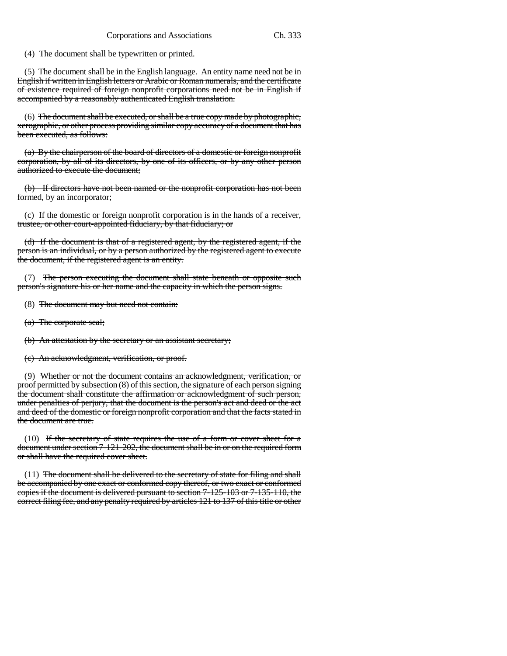(4) The document shall be typewritten or printed.

 $(5)$  The document shall be in the English language. An entity name need not be in English if written in English letters or Arabic or Roman numerals, and the certificate of existence required of foreign nonprofit corporations need not be in English if accompanied by a reasonably authenticated English translation.

(6) The document shall be executed, or shall be a true copy made by photographic, xerographic, or other process providing similar copy accuracy of a document that has been executed, as follows:

(a) By the chairperson of the board of directors of a domestic or foreign nonprofit corporation, by all of its directors, by one of its officers, or by any other person authorized to execute the document;

(b) If directors have not been named or the nonprofit corporation has not been formed, by an incorporator;

(c) If the domestic or foreign nonprofit corporation is in the hands of a receiver, trustee, or other court-appointed fiduciary, by that fiduciary; or

(d) If the document is that of a registered agent, by the registered agent, if the person is an individual, or by a person authorized by the registered agent to execute the document, if the registered agent is an entity.

(7) The person executing the document shall state beneath or opposite such person's signature his or her name and the capacity in which the person signs.

(8) The document may but need not contain:

(a) The corporate seal;

(b) An attestation by the secretary or an assistant secretary;

(c) An acknowledgment, verification, or proof.

(9) Whether or not the document contains an acknowledgment, verification, or proof permitted by subsection (8) of this section, the signature of each person signing the document shall constitute the affirmation or acknowledgment of such person, under penalties of perjury, that the document is the person's act and deed or the act and deed of the domestic or foreign nonprofit corporation and that the facts stated in the document are true.

(10) If the secretary of state requires the use of a form or cover sheet for a document under section 7-121-202, the document shall be in or on the required form or shall have the required cover sheet.

(11) The document shall be delivered to the secretary of state for filing and shall be accompanied by one exact or conformed copy thereof, or two exact or conformed copies if the document is delivered pursuant to section 7-125-103 or 7-135-110, the correct filing fee, and any penalty required by articles 121 to 137 of this title or other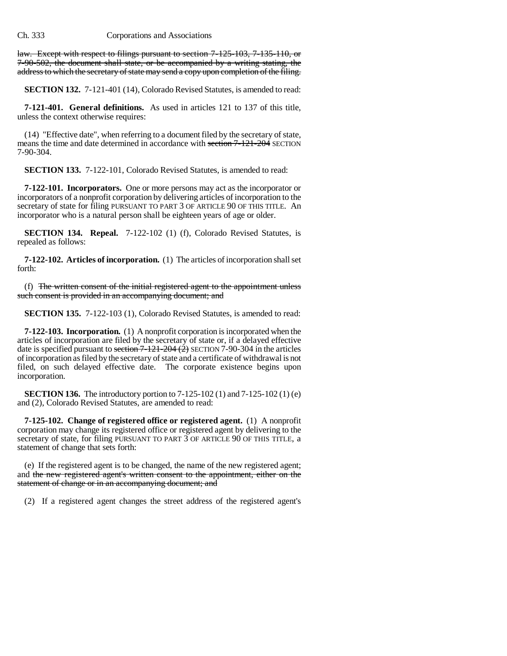law. Except with respect to filings pursuant to section 7-125-103, 7-135-110, or 7-90-502, the document shall state, or be accompanied by a writing stating, the address to which the secretary of state may send a copy upon completion of the filing.

**SECTION 132.** 7-121-401 (14), Colorado Revised Statutes, is amended to read:

**7-121-401. General definitions.** As used in articles 121 to 137 of this title, unless the context otherwise requires:

(14) "Effective date", when referring to a document filed by the secretary of state, means the time and date determined in accordance with section 7-121-204 SECTION 7-90-304.

**SECTION 133.** 7-122-101, Colorado Revised Statutes, is amended to read:

**7-122-101. Incorporators.** One or more persons may act as the incorporator or incorporators of a nonprofit corporation by delivering articles of incorporation to the secretary of state for filing PURSUANT TO PART 3 OF ARTICLE 90 OF THIS TITLE. An incorporator who is a natural person shall be eighteen years of age or older.

**SECTION 134. Repeal.** 7-122-102 (1) (f), Colorado Revised Statutes, is repealed as follows:

**7-122-102. Articles of incorporation.** (1) The articles of incorporation shall set forth:

(f) The written consent of the initial registered agent to the appointment unless such consent is provided in an accompanying document; and

**SECTION 135.** 7-122-103 (1), Colorado Revised Statutes, is amended to read:

**7-122-103. Incorporation.** (1) A nonprofit corporation is incorporated when the articles of incorporation are filed by the secretary of state or, if a delayed effective date is specified pursuant to section  $7-121-204(2)$  SECTION 7-90-304 in the articles of incorporation as filed by the secretary of state and a certificate of withdrawal is not filed, on such delayed effective date. The corporate existence begins upon incorporation.

**SECTION 136.** The introductory portion to 7-125-102 (1) and 7-125-102 (1) (e) and (2), Colorado Revised Statutes, are amended to read:

**7-125-102. Change of registered office or registered agent.** (1) A nonprofit corporation may change its registered office or registered agent by delivering to the secretary of state, for filing PURSUANT TO PART 3 OF ARTICLE 90 OF THIS TITLE, a statement of change that sets forth:

(e) If the registered agent is to be changed, the name of the new registered agent; and the new registered agent's written consent to the appointment, either on the statement of change or in an accompanying document; and

(2) If a registered agent changes the street address of the registered agent's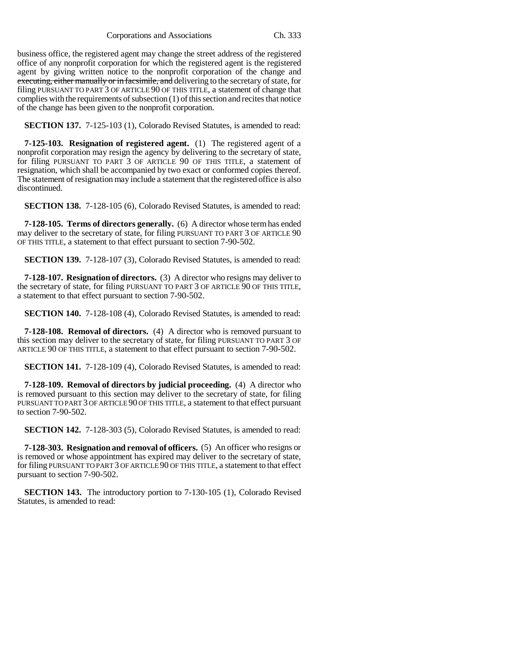Corporations and Associations Ch. 333

business office, the registered agent may change the street address of the registered office of any nonprofit corporation for which the registered agent is the registered agent by giving written notice to the nonprofit corporation of the change and executing, either manually or in facsimile, and delivering to the secretary of state, for filing PURSUANT TO PART 3 OF ARTICLE 90 OF THIS TITLE, a statement of change that complies with the requirements of subsection (1) of this section and recites that notice of the change has been given to the nonprofit corporation.

**SECTION 137.** 7-125-103 (1), Colorado Revised Statutes, is amended to read:

**7-125-103. Resignation of registered agent.** (1) The registered agent of a nonprofit corporation may resign the agency by delivering to the secretary of state, for filing PURSUANT TO PART 3 OF ARTICLE 90 OF THIS TITLE, a statement of resignation, which shall be accompanied by two exact or conformed copies thereof. The statement of resignation may include a statement that the registered office is also discontinued.

**SECTION 138.** 7-128-105 (6), Colorado Revised Statutes, is amended to read:

**7-128-105. Terms of directors generally.** (6) A director whose term has ended may deliver to the secretary of state, for filing PURSUANT TO PART 3 OF ARTICLE 90 OF THIS TITLE, a statement to that effect pursuant to section 7-90-502.

**SECTION 139.** 7-128-107 (3), Colorado Revised Statutes, is amended to read:

**7-128-107. Resignation of directors.** (3) A director who resigns may deliver to the secretary of state, for filing PURSUANT TO PART 3 OF ARTICLE 90 OF THIS TITLE, a statement to that effect pursuant to section 7-90-502.

**SECTION 140.** 7-128-108 (4), Colorado Revised Statutes, is amended to read:

**7-128-108. Removal of directors.** (4) A director who is removed pursuant to this section may deliver to the secretary of state, for filing PURSUANT TO PART 3 OF ARTICLE 90 OF THIS TITLE, a statement to that effect pursuant to section 7-90-502.

**SECTION 141.** 7-128-109 (4), Colorado Revised Statutes, is amended to read:

**7-128-109. Removal of directors by judicial proceeding.** (4) A director who is removed pursuant to this section may deliver to the secretary of state, for filing PURSUANT TO PART 3 OF ARTICLE 90 OF THIS TITLE, a statement to that effect pursuant to section 7-90-502.

**SECTION 142.** 7-128-303 (5), Colorado Revised Statutes, is amended to read:

**7-128-303. Resignation and removal of officers.** (5) An officer who resigns or is removed or whose appointment has expired may deliver to the secretary of state, for filing PURSUANT TO PART 3 OF ARTICLE 90 OF THIS TITLE, a statement to that effect pursuant to section 7-90-502.

**SECTION 143.** The introductory portion to 7-130-105 (1), Colorado Revised Statutes, is amended to read: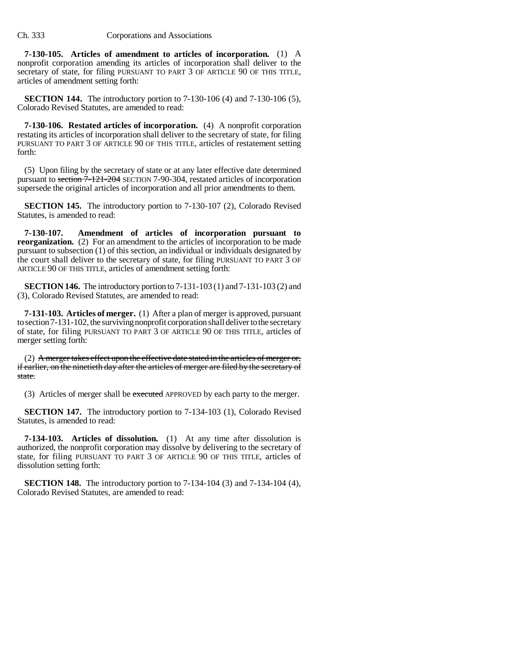**7-130-105. Articles of amendment to articles of incorporation.** (1) A nonprofit corporation amending its articles of incorporation shall deliver to the secretary of state, for filing PURSUANT TO PART 3 OF ARTICLE 90 OF THIS TITLE, articles of amendment setting forth:

**SECTION 144.** The introductory portion to 7-130-106 (4) and 7-130-106 (5), Colorado Revised Statutes, are amended to read:

**7-130-106. Restated articles of incorporation.** (4) A nonprofit corporation restating its articles of incorporation shall deliver to the secretary of state, for filing PURSUANT TO PART 3 OF ARTICLE 90 OF THIS TITLE, articles of restatement setting forth:

(5) Upon filing by the secretary of state or at any later effective date determined pursuant to section 7-121-204 SECTION 7-90-304, restated articles of incorporation supersede the original articles of incorporation and all prior amendments to them.

**SECTION 145.** The introductory portion to 7-130-107 (2), Colorado Revised Statutes, is amended to read:

**7-130-107. Amendment of articles of incorporation pursuant to reorganization.** (2) For an amendment to the articles of incorporation to be made pursuant to subsection (1) of this section, an individual or individuals designated by the court shall deliver to the secretary of state, for filing PURSUANT TO PART 3 OF ARTICLE 90 OF THIS TITLE, articles of amendment setting forth:

**SECTION 146.** The introductory portion to 7-131-103 (1) and 7-131-103 (2) and (3), Colorado Revised Statutes, are amended to read:

**7-131-103. Articles of merger.** (1) After a plan of merger is approved, pursuant to section 7-131-102, the surviving nonprofit corporation shall deliver to the secretary of state, for filing PURSUANT TO PART 3 OF ARTICLE 90 OF THIS TITLE, articles of merger setting forth:

(2) A merger takes effect upon the effective date stated in the articles of merger or, if earlier, on the ninetieth day after the articles of merger are filed by the secretary of state.

(3) Articles of merger shall be executed APPROVED by each party to the merger.

**SECTION 147.** The introductory portion to 7-134-103 (1), Colorado Revised Statutes, is amended to read:

**7-134-103. Articles of dissolution.** (1) At any time after dissolution is authorized, the nonprofit corporation may dissolve by delivering to the secretary of state, for filing PURSUANT TO PART 3 OF ARTICLE 90 OF THIS TITLE, articles of dissolution setting forth:

**SECTION 148.** The introductory portion to 7-134-104 (3) and 7-134-104 (4), Colorado Revised Statutes, are amended to read: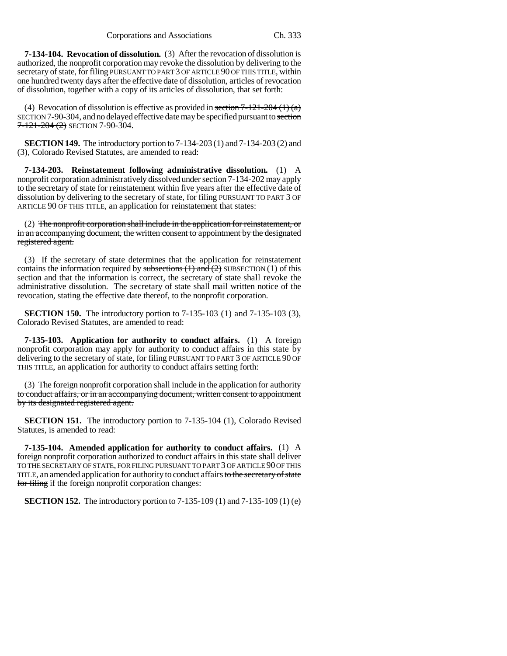**7-134-104. Revocation of dissolution.** (3) After the revocation of dissolution is authorized, the nonprofit corporation may revoke the dissolution by delivering to the secretary of state, for filing PURSUANT TO PART 3 OF ARTICLE 90 OF THIS TITLE, within one hundred twenty days after the effective date of dissolution, articles of revocation of dissolution, together with a copy of its articles of dissolution, that set forth:

(4) Revocation of dissolution is effective as provided in section  $7-121-204(1)(a)$ SECTION 7-90-304, and no delayed effective date may be specified pursuant to section  $7 - 121 - 204$  (2) SECTION 7-90-304.

**SECTION 149.** The introductory portion to 7-134-203 (1) and 7-134-203 (2) and (3), Colorado Revised Statutes, are amended to read:

**7-134-203. Reinstatement following administrative dissolution.** (1) A nonprofit corporation administratively dissolved under section 7-134-202 may apply to the secretary of state for reinstatement within five years after the effective date of dissolution by delivering to the secretary of state, for filing PURSUANT TO PART 3 OF ARTICLE 90 OF THIS TITLE, an application for reinstatement that states:

(2) The nonprofit corporation shall include in the application for reinstatement, or in an accompanying document, the written consent to appointment by the designated registered agent.

(3) If the secretary of state determines that the application for reinstatement contains the information required by subsections  $(1)$  and  $(2)$  SUBSECTION  $(1)$  of this section and that the information is correct, the secretary of state shall revoke the administrative dissolution. The secretary of state shall mail written notice of the revocation, stating the effective date thereof, to the nonprofit corporation.

**SECTION 150.** The introductory portion to 7-135-103 (1) and 7-135-103 (3), Colorado Revised Statutes, are amended to read:

**7-135-103. Application for authority to conduct affairs.** (1) A foreign nonprofit corporation may apply for authority to conduct affairs in this state by delivering to the secretary of state, for filing PURSUANT TO PART 3 OF ARTICLE 90 OF THIS TITLE, an application for authority to conduct affairs setting forth:

(3) The foreign nonprofit corporation shall include in the application for authority to conduct affairs, or in an accompanying document, written consent to appointment by its designated registered agent.

**SECTION 151.** The introductory portion to 7-135-104 (1), Colorado Revised Statutes, is amended to read:

**7-135-104. Amended application for authority to conduct affairs.** (1) A foreign nonprofit corporation authorized to conduct affairs in this state shall deliver TO THE SECRETARY OF STATE, FOR FILING PURSUANT TO PART 3 OF ARTICLE 90 OF THIS TITLE, an amended application for authority to conduct affairs to the secretary of state for filing if the foreign nonprofit corporation changes:

**SECTION 152.** The introductory portion to 7-135-109 (1) and 7-135-109 (1) (e)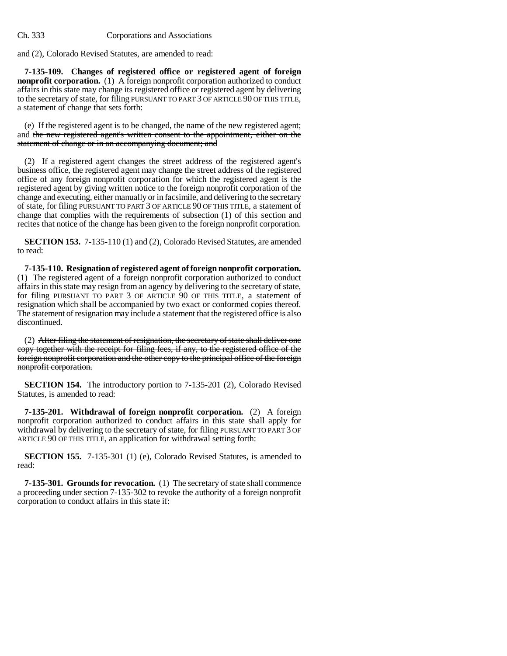and (2), Colorado Revised Statutes, are amended to read:

**7-135-109. Changes of registered office or registered agent of foreign nonprofit corporation.** (1) A foreign nonprofit corporation authorized to conduct affairs in this state may change its registered office or registered agent by delivering to the secretary of state, for filing PURSUANT TO PART 3 OF ARTICLE 90 OF THIS TITLE, a statement of change that sets forth:

(e) If the registered agent is to be changed, the name of the new registered agent; and the new registered agent's written consent to the appointment, either on the statement of change or in an accompanying document; and

(2) If a registered agent changes the street address of the registered agent's business office, the registered agent may change the street address of the registered office of any foreign nonprofit corporation for which the registered agent is the registered agent by giving written notice to the foreign nonprofit corporation of the change and executing, either manually or in facsimile, and delivering to the secretary of state, for filing PURSUANT TO PART 3 OF ARTICLE 90 OF THIS TITLE, a statement of change that complies with the requirements of subsection (1) of this section and recites that notice of the change has been given to the foreign nonprofit corporation.

**SECTION 153.** 7-135-110 (1) and (2), Colorado Revised Statutes, are amended to read:

**7-135-110. Resignation of registered agent of foreign nonprofit corporation.** (1) The registered agent of a foreign nonprofit corporation authorized to conduct affairs in this state may resign from an agency by delivering to the secretary of state, for filing PURSUANT TO PART 3 OF ARTICLE 90 OF THIS TITLE, a statement of resignation which shall be accompanied by two exact or conformed copies thereof. The statement of resignation may include a statement that the registered office is also discontinued.

(2) After filing the statement of resignation, the secretary of state shall deliver one copy together with the receipt for filing fees, if any, to the registered office of the foreign nonprofit corporation and the other copy to the principal office of the foreign nonprofit corporation.

**SECTION 154.** The introductory portion to 7-135-201 (2), Colorado Revised Statutes, is amended to read:

**7-135-201. Withdrawal of foreign nonprofit corporation.** (2) A foreign nonprofit corporation authorized to conduct affairs in this state shall apply for withdrawal by delivering to the secretary of state, for filing PURSUANT TO PART 3 OF ARTICLE 90 OF THIS TITLE, an application for withdrawal setting forth:

**SECTION 155.** 7-135-301 (1) (e), Colorado Revised Statutes, is amended to read:

**7-135-301. Grounds for revocation.** (1) The secretary of state shall commence a proceeding under section 7-135-302 to revoke the authority of a foreign nonprofit corporation to conduct affairs in this state if: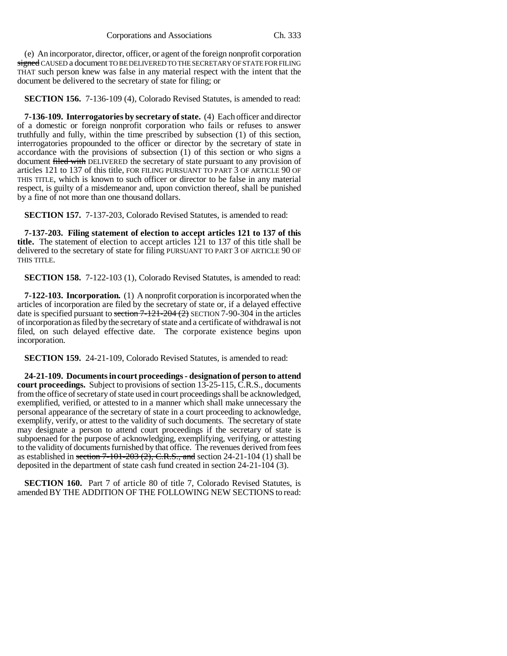(e) An incorporator, director, officer, or agent of the foreign nonprofit corporation signed CAUSED a document TO BE DELIVERED TO THE SECRETARY OF STATE FOR FILING THAT such person knew was false in any material respect with the intent that the document be delivered to the secretary of state for filing; or

**SECTION 156.** 7-136-109 (4), Colorado Revised Statutes, is amended to read:

**7-136-109. Interrogatories by secretary of state.** (4) Each officer and director of a domestic or foreign nonprofit corporation who fails or refuses to answer truthfully and fully, within the time prescribed by subsection (1) of this section, interrogatories propounded to the officer or director by the secretary of state in accordance with the provisions of subsection (1) of this section or who signs a document filed with DELIVERED the secretary of state pursuant to any provision of articles 121 to 137 of this title, FOR FILING PURSUANT TO PART 3 OF ARTICLE 90 OF THIS TITLE, which is known to such officer or director to be false in any material respect, is guilty of a misdemeanor and, upon conviction thereof, shall be punished by a fine of not more than one thousand dollars.

**SECTION 157.** 7-137-203, Colorado Revised Statutes, is amended to read:

**7-137-203. Filing statement of election to accept articles 121 to 137 of this title.** The statement of election to accept articles 121 to 137 of this title shall be delivered to the secretary of state for filing PURSUANT TO PART 3 OF ARTICLE 90 OF THIS TITLE.

**SECTION 158.** 7-122-103 (1), Colorado Revised Statutes, is amended to read:

**7-122-103. Incorporation.** (1) A nonprofit corporation is incorporated when the articles of incorporation are filed by the secretary of state or, if a delayed effective date is specified pursuant to section  $7-121-204(2)$  SECTION 7-90-304 in the articles of incorporation as filed by the secretary of state and a certificate of withdrawal is not filed, on such delayed effective date. The corporate existence begins upon incorporation.

**SECTION 159.** 24-21-109, Colorado Revised Statutes, is amended to read:

**24-21-109. Documents in court proceedings - designation of person to attend court proceedings.** Subject to provisions of section 13-25-115, C.R.S., documents from the office of secretary of state used in court proceedings shall be acknowledged, exemplified, verified, or attested to in a manner which shall make unnecessary the personal appearance of the secretary of state in a court proceeding to acknowledge, exemplify, verify, or attest to the validity of such documents. The secretary of state may designate a person to attend court proceedings if the secretary of state is subpoenaed for the purpose of acknowledging, exemplifying, verifying, or attesting to the validity of documents furnished by that office. The revenues derived from fees as established in section  $7-101-203$  (2), C.R.S., and section  $24-21-104$  (1) shall be deposited in the department of state cash fund created in section 24-21-104 (3).

**SECTION 160.** Part 7 of article 80 of title 7, Colorado Revised Statutes, is amended BY THE ADDITION OF THE FOLLOWING NEW SECTIONS to read: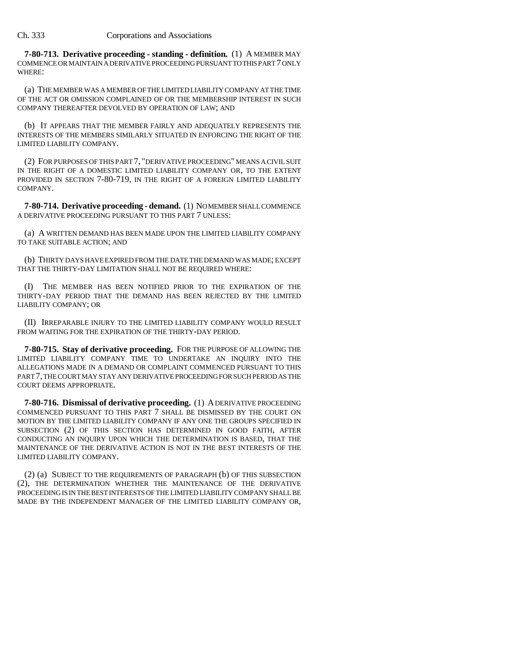**7-80-713. Derivative proceeding - standing - definition.** (1) A MEMBER MAY COMMENCE OR MAINTAIN A DERIVATIVE PROCEEDING PURSUANT TO THIS PART 7 ONLY WHERE:

(a) THE MEMBER WAS A MEMBER OF THE LIMITED LIABILITY COMPANY AT THE TIME OF THE ACT OR OMISSION COMPLAINED OF OR THE MEMBERSHIP INTEREST IN SUCH COMPANY THEREAFTER DEVOLVED BY OPERATION OF LAW; AND

(b) IT APPEARS THAT THE MEMBER FAIRLY AND ADEQUATELY REPRESENTS THE INTERESTS OF THE MEMBERS SIMILARLY SITUATED IN ENFORCING THE RIGHT OF THE LIMITED LIABILITY COMPANY.

(2) FOR PURPOSES OF THIS PART 7, "DERIVATIVE PROCEEDING" MEANS A CIVIL SUIT IN THE RIGHT OF A DOMESTIC LIMITED LIABILITY COMPANY OR, TO THE EXTENT PROVIDED IN SECTION 7-80-719, IN THE RIGHT OF A FOREIGN LIMITED LIABILITY COMPANY.

**7-80-714. Derivative proceeding - demand.** (1) NO MEMBER SHALL COMMENCE A DERIVATIVE PROCEEDING PURSUANT TO THIS PART 7 UNLESS:

(a) A WRITTEN DEMAND HAS BEEN MADE UPON THE LIMITED LIABILITY COMPANY TO TAKE SUITABLE ACTION; AND

(b) THIRTY DAYS HAVE EXPIRED FROM THE DATE THE DEMAND WAS MADE; EXCEPT THAT THE THIRTY-DAY LIMITATION SHALL NOT BE REQUIRED WHERE:

(I) THE MEMBER HAS BEEN NOTIFIED PRIOR TO THE EXPIRATION OF THE THIRTY-DAY PERIOD THAT THE DEMAND HAS BEEN REJECTED BY THE LIMITED LIABILITY COMPANY; OR

(II) IRREPARABLE INJURY TO THE LIMITED LIABILITY COMPANY WOULD RESULT FROM WAITING FOR THE EXPIRATION OF THE THIRTY-DAY PERIOD.

**7-80-715. Stay of derivative proceeding.** FOR THE PURPOSE OF ALLOWING THE LIMITED LIABILITY COMPANY TIME TO UNDERTAKE AN INQUIRY INTO THE ALLEGATIONS MADE IN A DEMAND OR COMPLAINT COMMENCED PURSUANT TO THIS PART 7, THE COURT MAY STAY ANY DERIVATIVE PROCEEDING FOR SUCH PERIOD AS THE COURT DEEMS APPROPRIATE.

**7-80-716. Dismissal of derivative proceeding.** (1) A DERIVATIVE PROCEEDING COMMENCED PURSUANT TO THIS PART 7 SHALL BE DISMISSED BY THE COURT ON MOTION BY THE LIMITED LIABILITY COMPANY IF ANY ONE THE GROUPS SPECIFIED IN SUBSECTION (2) OF THIS SECTION HAS DETERMINED IN GOOD FAITH, AFTER CONDUCTING AN INQUIRY UPON WHICH THE DETERMINATION IS BASED, THAT THE MAINTENANCE OF THE DERIVATIVE ACTION IS NOT IN THE BEST INTERESTS OF THE LIMITED LIABILITY COMPANY.

(2) (a) SUBJECT TO THE REQUIREMENTS OF PARAGRAPH (b) OF THIS SUBSECTION (2), THE DETERMINATION WHETHER THE MAINTENANCE OF THE DERIVATIVE PROCEEDING IS IN THE BEST INTERESTS OF THE LIMITED LIABILITY COMPANY SHALL BE MADE BY THE INDEPENDENT MANAGER OF THE LIMITED LIABILITY COMPANY OR,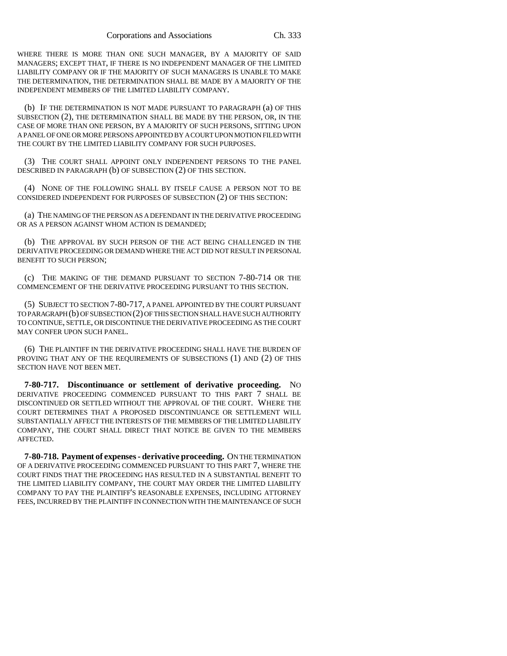WHERE THERE IS MORE THAN ONE SUCH MANAGER, BY A MAJORITY OF SAID MANAGERS; EXCEPT THAT, IF THERE IS NO INDEPENDENT MANAGER OF THE LIMITED LIABILITY COMPANY OR IF THE MAJORITY OF SUCH MANAGERS IS UNABLE TO MAKE THE DETERMINATION, THE DETERMINATION SHALL BE MADE BY A MAJORITY OF THE INDEPENDENT MEMBERS OF THE LIMITED LIABILITY COMPANY.

(b) IF THE DETERMINATION IS NOT MADE PURSUANT TO PARAGRAPH (a) OF THIS SUBSECTION (2), THE DETERMINATION SHALL BE MADE BY THE PERSON, OR, IN THE CASE OF MORE THAN ONE PERSON, BY A MAJORITY OF SUCH PERSONS, SITTING UPON A PANEL OF ONE OR MORE PERSONS APPOINTED BY A COURT UPON MOTION FILED WITH THE COURT BY THE LIMITED LIABILITY COMPANY FOR SUCH PURPOSES.

(3) THE COURT SHALL APPOINT ONLY INDEPENDENT PERSONS TO THE PANEL DESCRIBED IN PARAGRAPH (b) OF SUBSECTION (2) OF THIS SECTION.

(4) NONE OF THE FOLLOWING SHALL BY ITSELF CAUSE A PERSON NOT TO BE CONSIDERED INDEPENDENT FOR PURPOSES OF SUBSECTION (2) OF THIS SECTION:

(a) THE NAMING OF THE PERSON AS A DEFENDANT IN THE DERIVATIVE PROCEEDING OR AS A PERSON AGAINST WHOM ACTION IS DEMANDED;

(b) THE APPROVAL BY SUCH PERSON OF THE ACT BEING CHALLENGED IN THE DERIVATIVE PROCEEDING OR DEMAND WHERE THE ACT DID NOT RESULT IN PERSONAL BENEFIT TO SUCH PERSON;

(c) THE MAKING OF THE DEMAND PURSUANT TO SECTION 7-80-714 OR THE COMMENCEMENT OF THE DERIVATIVE PROCEEDING PURSUANT TO THIS SECTION.

(5) SUBJECT TO SECTION 7-80-717, A PANEL APPOINTED BY THE COURT PURSUANT TO PARAGRAPH (b) OF SUBSECTION (2) OF THIS SECTION SHALL HAVE SUCH AUTHORITY TO CONTINUE, SETTLE, OR DISCONTINUE THE DERIVATIVE PROCEEDING AS THE COURT MAY CONFER UPON SUCH PANEL.

(6) THE PLAINTIFF IN THE DERIVATIVE PROCEEDING SHALL HAVE THE BURDEN OF PROVING THAT ANY OF THE REQUIREMENTS OF SUBSECTIONS (1) AND (2) OF THIS SECTION HAVE NOT BEEN MET.

**7-80-717. Discontinuance or settlement of derivative proceeding.** NO DERIVATIVE PROCEEDING COMMENCED PURSUANT TO THIS PART 7 SHALL BE DISCONTINUED OR SETTLED WITHOUT THE APPROVAL OF THE COURT. WHERE THE COURT DETERMINES THAT A PROPOSED DISCONTINUANCE OR SETTLEMENT WILL SUBSTANTIALLY AFFECT THE INTERESTS OF THE MEMBERS OF THE LIMITED LIABILITY COMPANY, THE COURT SHALL DIRECT THAT NOTICE BE GIVEN TO THE MEMBERS AFFECTED.

**7-80-718. Payment of expenses - derivative proceeding.** ON THE TERMINATION OF A DERIVATIVE PROCEEDING COMMENCED PURSUANT TO THIS PART 7, WHERE THE COURT FINDS THAT THE PROCEEDING HAS RESULTED IN A SUBSTANTIAL BENEFIT TO THE LIMITED LIABILITY COMPANY, THE COURT MAY ORDER THE LIMITED LIABILITY COMPANY TO PAY THE PLAINTIFF'S REASONABLE EXPENSES, INCLUDING ATTORNEY FEES, INCURRED BY THE PLAINTIFF IN CONNECTION WITH THE MAINTENANCE OF SUCH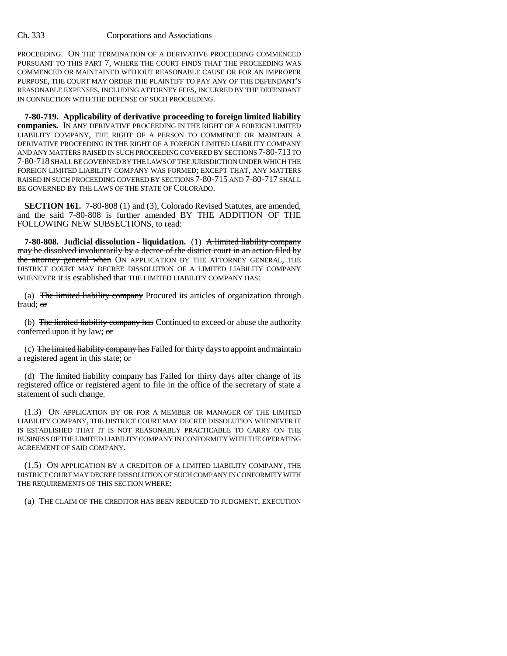PROCEEDING. ON THE TERMINATION OF A DERIVATIVE PROCEEDING COMMENCED PURSUANT TO THIS PART 7, WHERE THE COURT FINDS THAT THE PROCEEDING WAS COMMENCED OR MAINTAINED WITHOUT REASONABLE CAUSE OR FOR AN IMPROPER PURPOSE, THE COURT MAY ORDER THE PLAINTIFF TO PAY ANY OF THE DEFENDANT'S REASONABLE EXPENSES, INCLUDING ATTORNEY FEES, INCURRED BY THE DEFENDANT IN CONNECTION WITH THE DEFENSE OF SUCH PROCEEDING.

**7-80-719. Applicability of derivative proceeding to foreign limited liability companies.** IN ANY DERIVATIVE PROCEEDING IN THE RIGHT OF A FOREIGN LIMITED LIABILITY COMPANY, THE RIGHT OF A PERSON TO COMMENCE OR MAINTAIN A DERIVATIVE PROCEEDING IN THE RIGHT OF A FOREIGN LIMITED LIABILITY COMPANY AND ANY MATTERS RAISED IN SUCH PROCEEDING COVERED BY SECTIONS 7-80-713 TO 7-80-718 SHALL BE GOVERNED BY THE LAWS OF THE JURISDICTION UNDER WHICH THE FOREIGN LIMITED LIABILITY COMPANY WAS FORMED; EXCEPT THAT, ANY MATTERS RAISED IN SUCH PROCEEDING COVERED BY SECTIONS 7-80-715 AND 7-80-717 SHALL BE GOVERNED BY THE LAWS OF THE STATE OF COLORADO.

**SECTION 161.** 7-80-808 (1) and (3), Colorado Revised Statutes, are amended, and the said 7-80-808 is further amended BY THE ADDITION OF THE FOLLOWING NEW SUBSECTIONS, to read:

**7-80-808.** Judicial dissolution - liquidation. (1) A limited liability company may be dissolved involuntarily by a decree of the district court in an action filed by the attorney general when ON APPLICATION BY THE ATTORNEY GENERAL, THE DISTRICT COURT MAY DECREE DISSOLUTION OF A LIMITED LIABILITY COMPANY WHENEVER it is established that THE LIMITED LIABILITY COMPANY HAS:

(a) The limited liability company Procured its articles of organization through fraud; or

(b) The limited liability company has Continued to exceed or abuse the authority conferred upon it by law;  $\sigma$ 

(c) The limited liability company has Failed for thirty days to appoint and maintain a registered agent in this state; or

(d) The limited liability company has Failed for thirty days after change of its registered office or registered agent to file in the office of the secretary of state a statement of such change.

(1.3) ON APPLICATION BY OR FOR A MEMBER OR MANAGER OF THE LIMITED LIABILITY COMPANY, THE DISTRICT COURT MAY DECREE DISSOLUTION WHENEVER IT IS ESTABLISHED THAT IT IS NOT REASONABLY PRACTICABLE TO CARRY ON THE BUSINESS OF THE LIMITED LIABILITY COMPANY IN CONFORMITY WITH THE OPERATING AGREEMENT OF SAID COMPANY.

(1.5) ON APPLICATION BY A CREDITOR OF A LIMITED LIABILITY COMPANY, THE DISTRICT COURT MAY DECREE DISSOLUTION OF SUCH COMPANY IN CONFORMITY WITH THE REQUIREMENTS OF THIS SECTION WHERE:

(a) THE CLAIM OF THE CREDITOR HAS BEEN REDUCED TO JUDGMENT, EXECUTION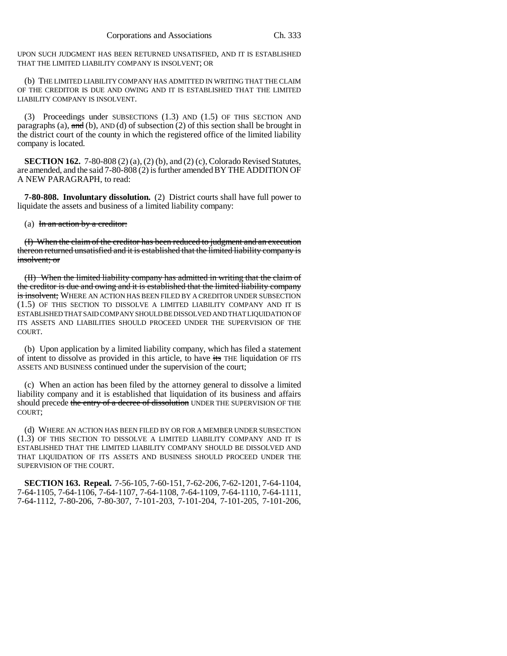UPON SUCH JUDGMENT HAS BEEN RETURNED UNSATISFIED, AND IT IS ESTABLISHED THAT THE LIMITED LIABILITY COMPANY IS INSOLVENT; OR

(b) THE LIMITED LIABILITY COMPANY HAS ADMITTED IN WRITING THAT THE CLAIM OF THE CREDITOR IS DUE AND OWING AND IT IS ESTABLISHED THAT THE LIMITED LIABILITY COMPANY IS INSOLVENT.

(3) Proceedings under SUBSECTIONS (1.3) AND (1.5) OF THIS SECTION AND paragraphs (a),  $\overline{and}$  (b), AND (d) of subsection (2) of this section shall be brought in the district court of the county in which the registered office of the limited liability company is located.

**SECTION 162.** 7-80-808 (2) (a), (2) (b), and (2) (c), Colorado Revised Statutes, are amended, and the said 7-80-808 (2) is further amended BY THE ADDITION OF A NEW PARAGRAPH, to read:

**7-80-808. Involuntary dissolution.** (2) District courts shall have full power to liquidate the assets and business of a limited liability company:

(a) In an action by a creditor:

(I) When the claim of the creditor has been reduced to judgment and an execution thereon returned unsatisfied and it is established that the limited liability company is insolvent; or

(II) When the limited liability company has admitted in writing that the claim of the creditor is due and owing and it is established that the limited liability company is insolvent; WHERE AN ACTION HAS BEEN FILED BY A CREDITOR UNDER SUBSECTION (1.5) OF THIS SECTION TO DISSOLVE A LIMITED LIABILITY COMPANY AND IT IS ESTABLISHED THAT SAID COMPANY SHOULD BE DISSOLVED AND THAT LIQUIDATION OF ITS ASSETS AND LIABILITIES SHOULD PROCEED UNDER THE SUPERVISION OF THE COURT.

(b) Upon application by a limited liability company, which has filed a statement of intent to dissolve as provided in this article, to have its THE liquidation OF ITS ASSETS AND BUSINESS continued under the supervision of the court;

(c) When an action has been filed by the attorney general to dissolve a limited liability company and it is established that liquidation of its business and affairs should precede the entry of a decree of dissolution UNDER THE SUPERVISION OF THE COURT;

(d) WHERE AN ACTION HAS BEEN FILED BY OR FOR A MEMBER UNDER SUBSECTION (1.3) OF THIS SECTION TO DISSOLVE A LIMITED LIABILITY COMPANY AND IT IS ESTABLISHED THAT THE LIMITED LIABILITY COMPANY SHOULD BE DISSOLVED AND THAT LIQUIDATION OF ITS ASSETS AND BUSINESS SHOULD PROCEED UNDER THE SUPERVISION OF THE COURT.

**SECTION 163. Repeal.** 7-56-105, 7-60-151, 7-62-206, 7-62-1201, 7-64-1104, 7-64-1105, 7-64-1106, 7-64-1107, 7-64-1108, 7-64-1109, 7-64-1110, 7-64-1111, 7-64-1112, 7-80-206, 7-80-307, 7-101-203, 7-101-204, 7-101-205, 7-101-206,